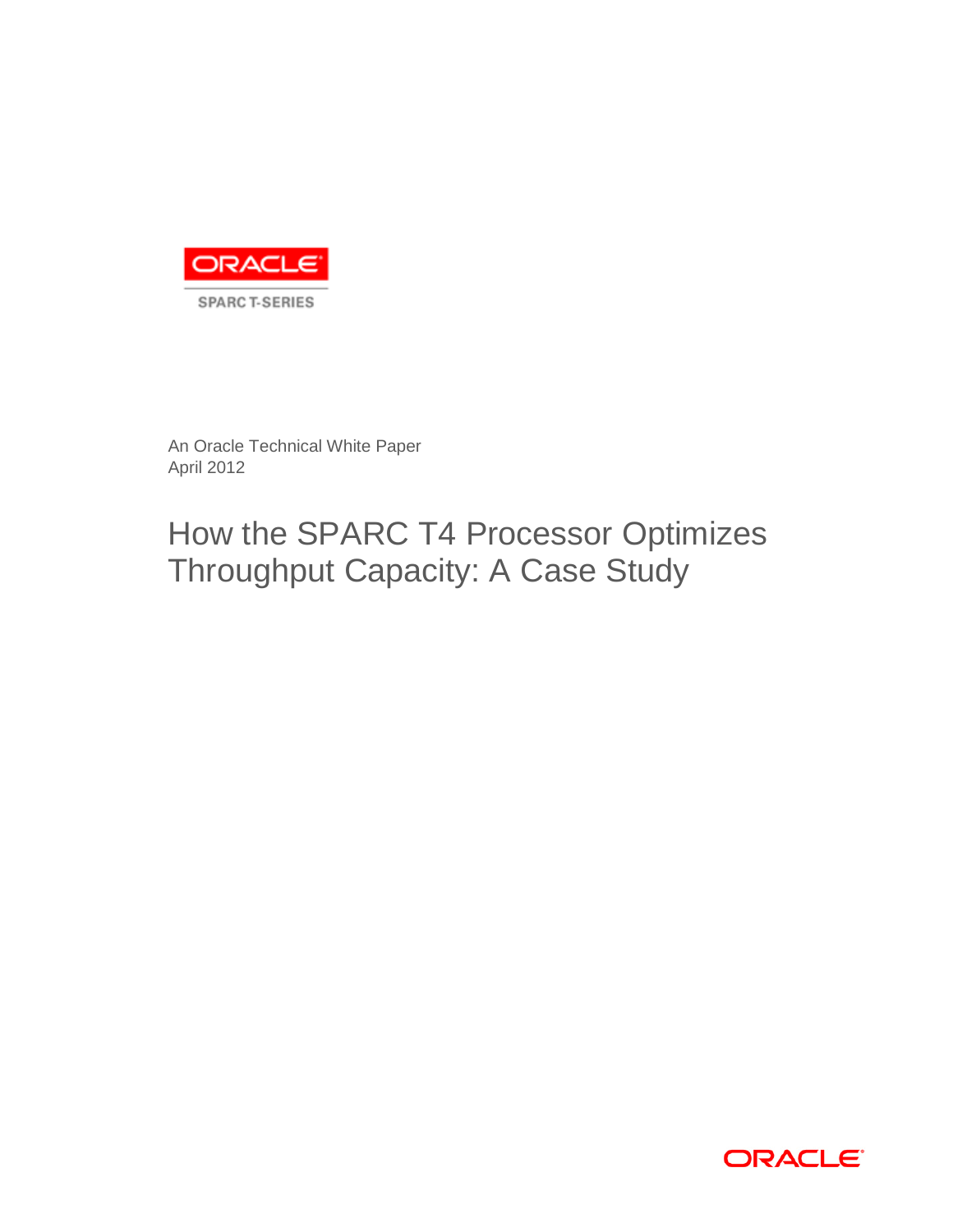

An Oracle Technical White Paper April 2012

# How the SPARC T4 Processor Optimizes Throughput Capacity: A Case Study

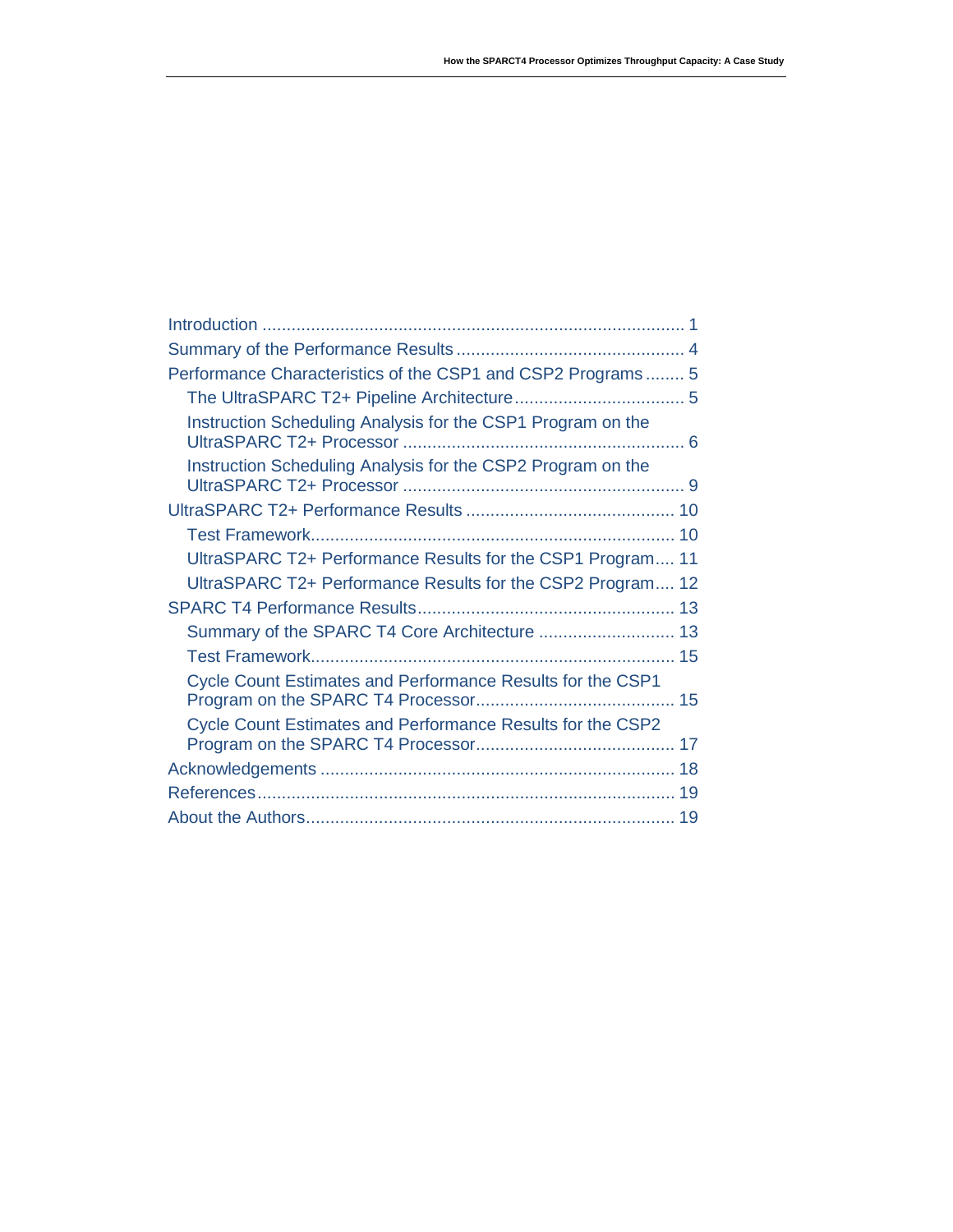| Performance Characteristics of the CSP1 and CSP2 Programs 5 |    |
|-------------------------------------------------------------|----|
|                                                             |    |
| Instruction Scheduling Analysis for the CSP1 Program on the |    |
| Instruction Scheduling Analysis for the CSP2 Program on the |    |
|                                                             |    |
|                                                             |    |
| UltraSPARC T2+ Performance Results for the CSP1 Program 11  |    |
| UltraSPARC T2+ Performance Results for the CSP2 Program 12  |    |
|                                                             |    |
| Summary of the SPARC T4 Core Architecture  13               |    |
|                                                             |    |
| Cycle Count Estimates and Performance Results for the CSP1  |    |
| Cycle Count Estimates and Performance Results for the CSP2  |    |
|                                                             |    |
|                                                             | 19 |
|                                                             |    |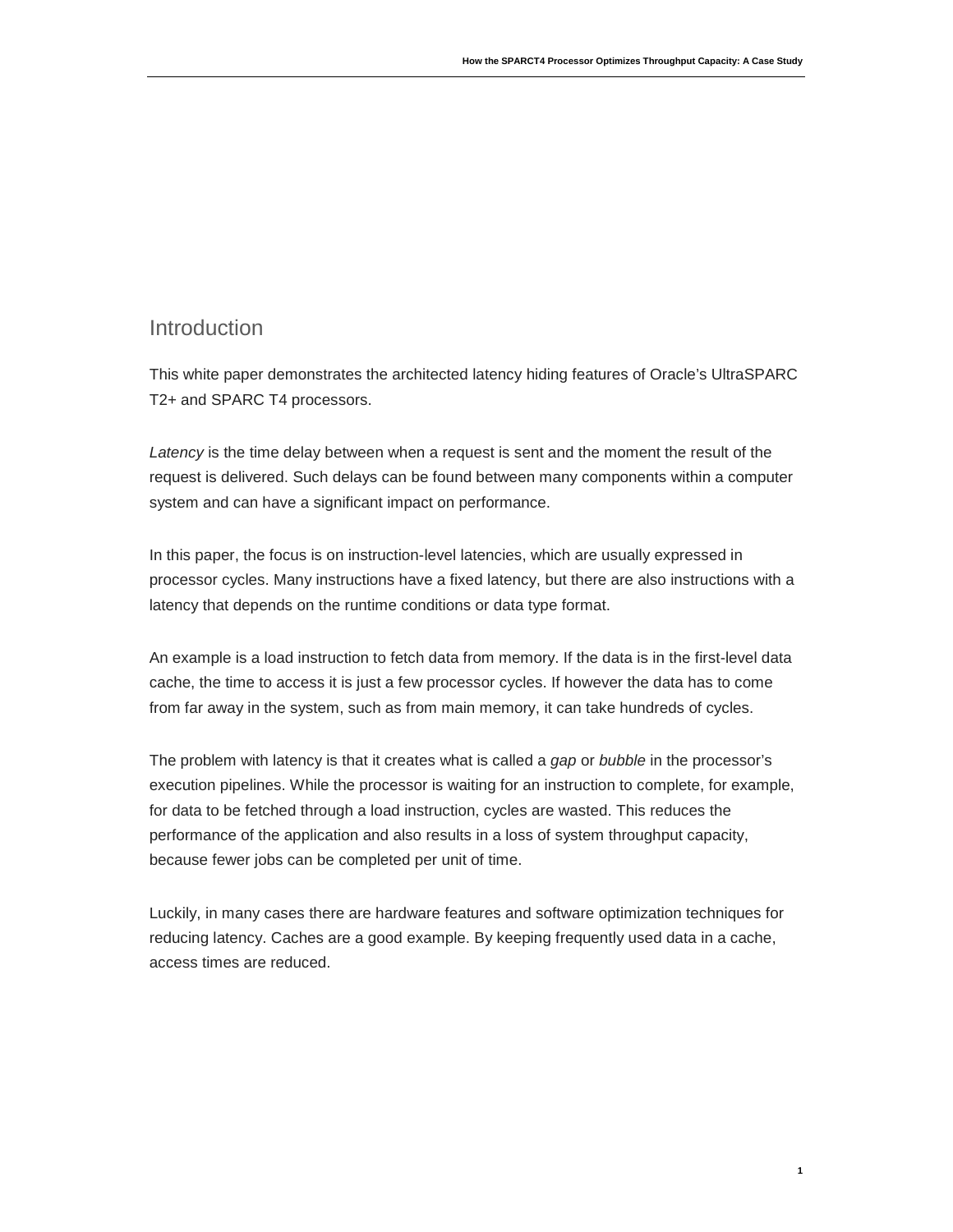### <span id="page-2-0"></span>Introduction

This white paper demonstrates the architected latency hiding features of Oracle's UltraSPARC T2+ and SPARC T4 processors.

*Latency* is the time delay between when a request is sent and the moment the result of the request is delivered. Such delays can be found between many components within a computer system and can have a significant impact on performance.

In this paper, the focus is on instruction-level latencies, which are usually expressed in processor cycles. Many instructions have a fixed latency, but there are also instructions with a latency that depends on the runtime conditions or data type format.

An example is a load instruction to fetch data from memory. If the data is in the first-level data cache, the time to access it is just a few processor cycles. If however the data has to come from far away in the system, such as from main memory, it can take hundreds of cycles.

The problem with latency is that it creates what is called a *gap* or *bubble* in the processor's execution pipelines. While the processor is waiting for an instruction to complete, for example, for data to be fetched through a load instruction, cycles are wasted. This reduces the performance of the application and also results in a loss of system throughput capacity, because fewer jobs can be completed per unit of time.

Luckily, in many cases there are hardware features and software optimization techniques for reducing latency. Caches are a good example. By keeping frequently used data in a cache, access times are reduced.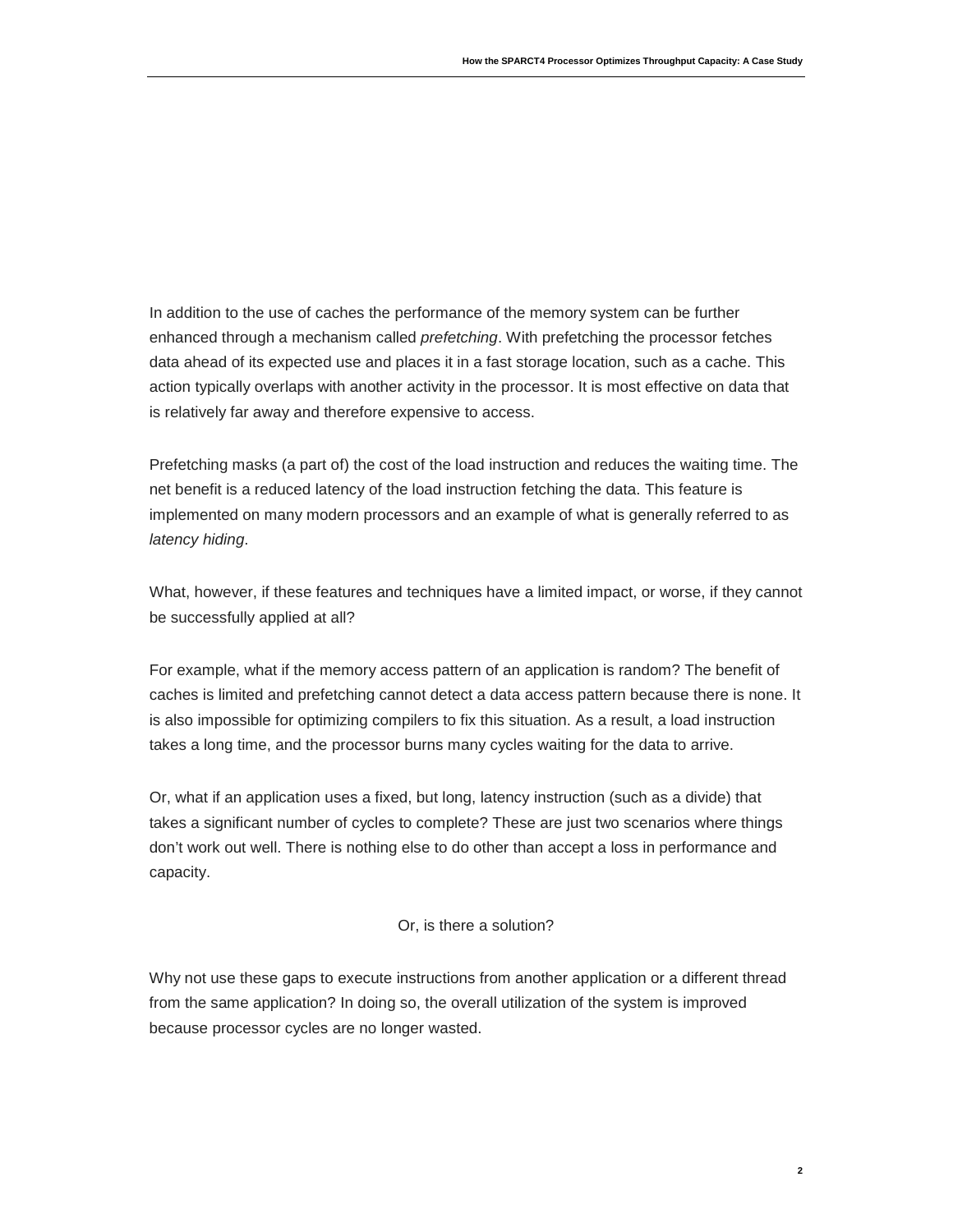In addition to the use of caches the performance of the memory system can be further enhanced through a mechanism called *prefetching*. With prefetching the processor fetches data ahead of its expected use and places it in a fast storage location, such as a cache. This action typically overlaps with another activity in the processor. It is most effective on data that is relatively far away and therefore expensive to access.

Prefetching masks (a part of) the cost of the load instruction and reduces the waiting time. The net benefit is a reduced latency of the load instruction fetching the data. This feature is implemented on many modern processors and an example of what is generally referred to as *latency hiding*.

What, however, if these features and techniques have a limited impact, or worse, if they cannot be successfully applied at all?

For example, what if the memory access pattern of an application is random? The benefit of caches is limited and prefetching cannot detect a data access pattern because there is none. It is also impossible for optimizing compilers to fix this situation. As a result, a load instruction takes a long time, and the processor burns many cycles waiting for the data to arrive.

Or, what if an application uses a fixed, but long, latency instruction (such as a divide) that takes a significant number of cycles to complete? These are just two scenarios where things don't work out well. There is nothing else to do other than accept a loss in performance and capacity.

### Or, is there a solution?

Why not use these gaps to execute instructions from another application or a different thread from the same application? In doing so, the overall utilization of the system is improved because processor cycles are no longer wasted.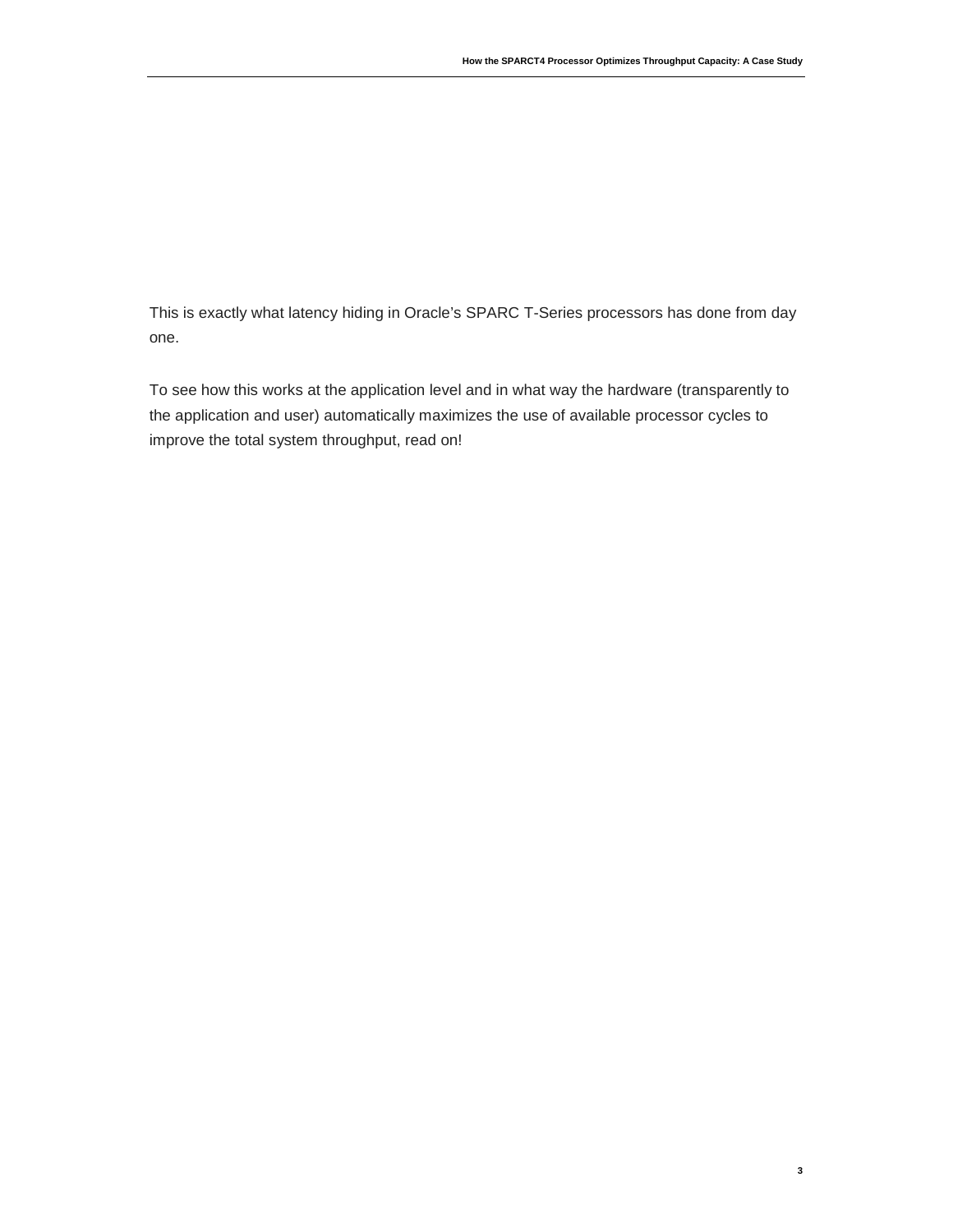This is exactly what latency hiding in Oracle's SPARC T-Series processors has done from day one.

To see how this works at the application level and in what way the hardware (transparently to the application and user) automatically maximizes the use of available processor cycles to improve the total system throughput, read on!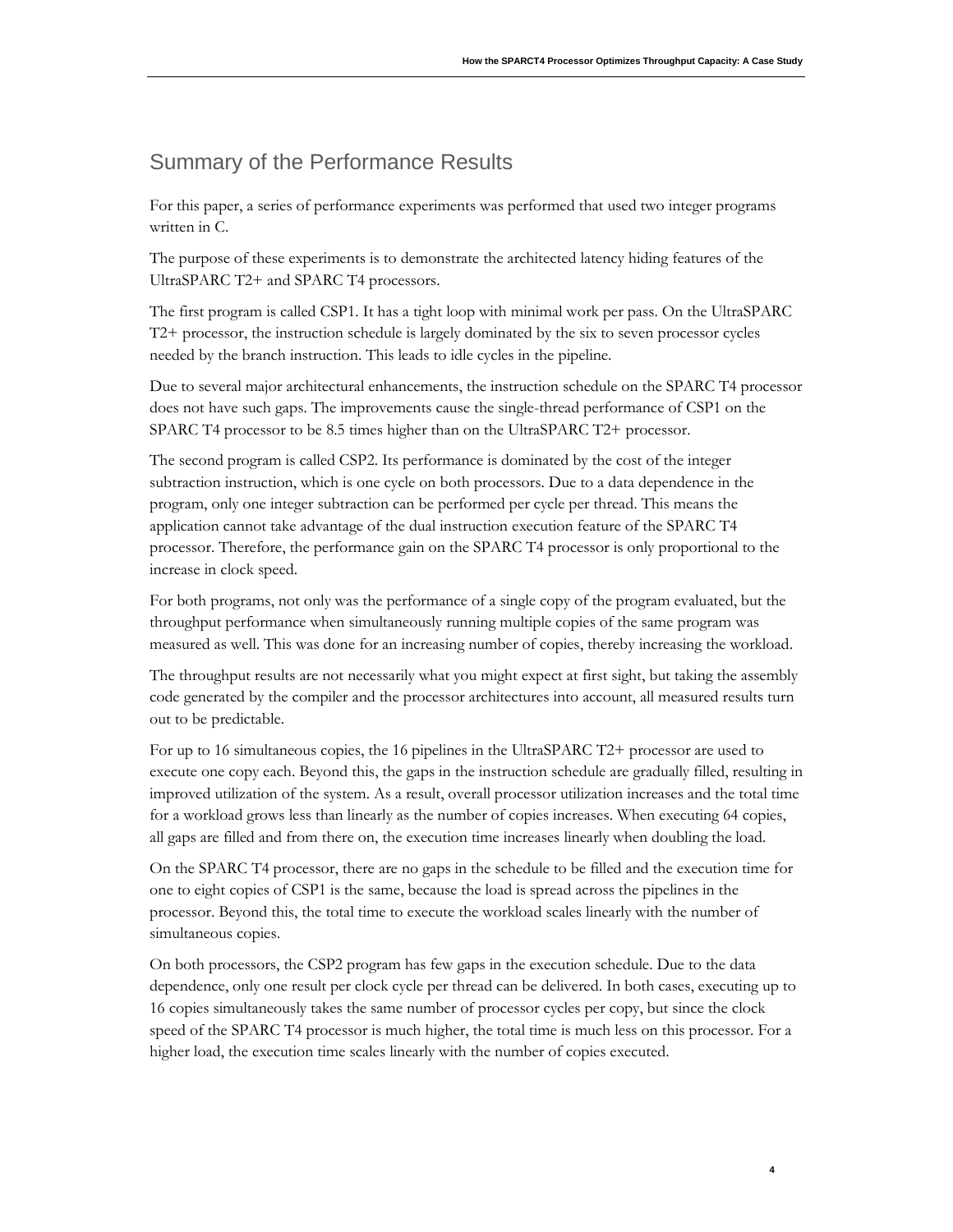### <span id="page-5-0"></span>Summary of the Performance Results

For this paper, a series of performance experiments was performed that used two integer programs written in C.

The purpose of these experiments is to demonstrate the architected latency hiding features of the UltraSPARC T2+ and SPARC T4 processors.

The first program is called CSP1. It has a tight loop with minimal work per pass. On the UltraSPARC T2+ processor, the instruction schedule is largely dominated by the six to seven processor cycles needed by the branch instruction. This leads to idle cycles in the pipeline.

Due to several major architectural enhancements, the instruction schedule on the SPARC T4 processor does not have such gaps. The improvements cause the single-thread performance of CSP1 on the SPARC T4 processor to be 8.5 times higher than on the UltraSPARC T2+ processor.

The second program is called CSP2. Its performance is dominated by the cost of the integer subtraction instruction, which is one cycle on both processors. Due to a data dependence in the program, only one integer subtraction can be performed per cycle per thread. This means the application cannot take advantage of the dual instruction execution feature of the SPARC T4 processor. Therefore, the performance gain on the SPARC T4 processor is only proportional to the increase in clock speed.

For both programs, not only was the performance of a single copy of the program evaluated, but the throughput performance when simultaneously running multiple copies of the same program was measured as well. This was done for an increasing number of copies, thereby increasing the workload.

The throughput results are not necessarily what you might expect at first sight, but taking the assembly code generated by the compiler and the processor architectures into account, all measured results turn out to be predictable.

For up to 16 simultaneous copies, the 16 pipelines in the UltraSPARC T2+ processor are used to execute one copy each. Beyond this, the gaps in the instruction schedule are gradually filled, resulting in improved utilization of the system. As a result, overall processor utilization increases and the total time for a workload grows less than linearly as the number of copies increases. When executing 64 copies, all gaps are filled and from there on, the execution time increases linearly when doubling the load.

On the SPARC T4 processor, there are no gaps in the schedule to be filled and the execution time for one to eight copies of CSP1 is the same, because the load is spread across the pipelines in the processor. Beyond this, the total time to execute the workload scales linearly with the number of simultaneous copies.

On both processors, the CSP2 program has few gaps in the execution schedule. Due to the data dependence, only one result per clock cycle per thread can be delivered. In both cases, executing up to 16 copies simultaneously takes the same number of processor cycles per copy, but since the clock speed of the SPARC T4 processor is much higher, the total time is much less on this processor. For a higher load, the execution time scales linearly with the number of copies executed.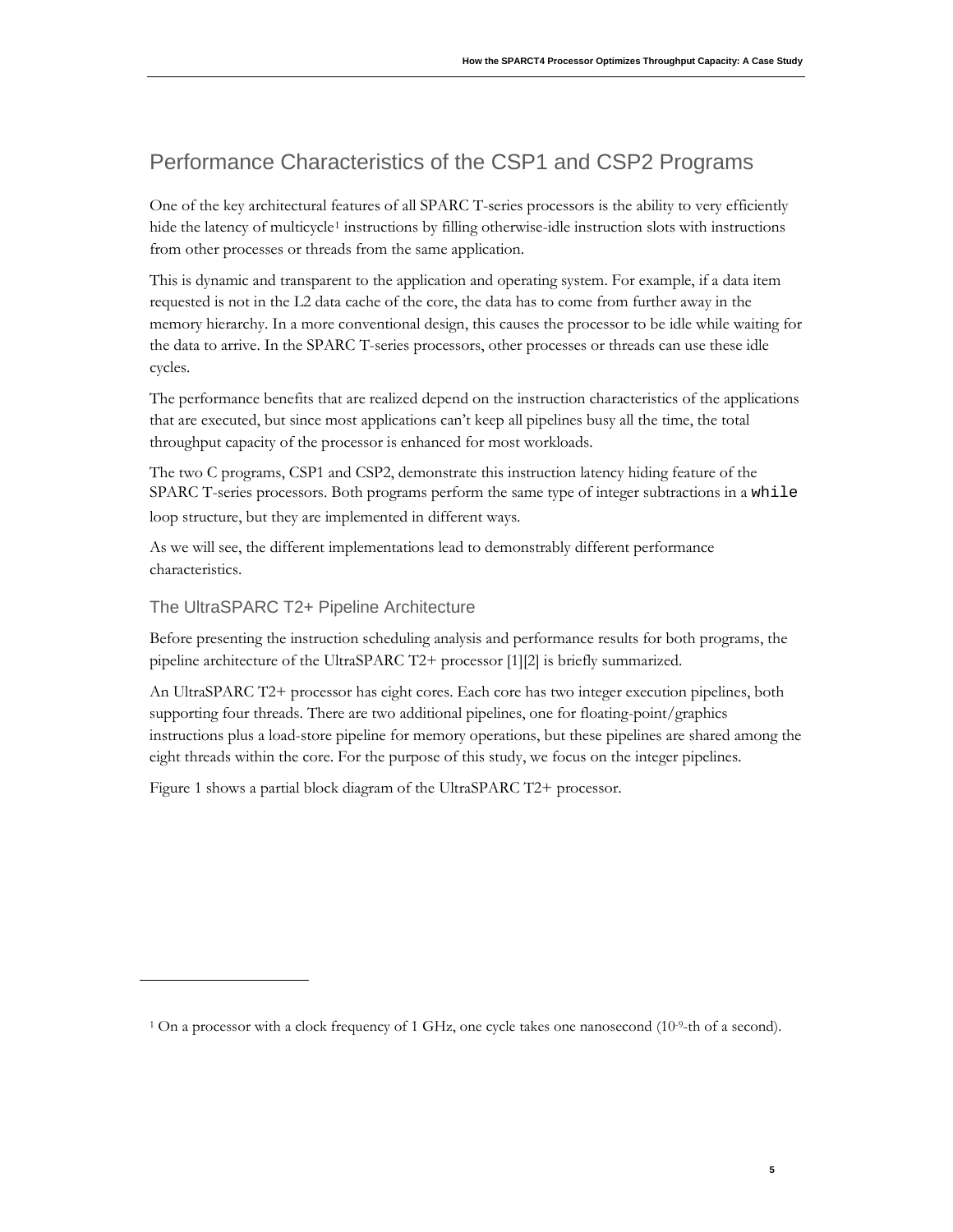# <span id="page-6-0"></span>Performance Characteristics of the CSP1 and CSP2 Programs

One of the key architectural features of all SPARC T-series processors is the ability to very efficiently hide the latency of multicycle<sup>[1](#page-6-2)</sup> instructions by filling otherwise-idle instruction slots with instructions from other processes or threads from the same application.

This is dynamic and transparent to the application and operating system. For example, if a data item requested is not in the L2 data cache of the core, the data has to come from further away in the memory hierarchy. In a more conventional design, this causes the processor to be idle while waiting for the data to arrive. In the SPARC T-series processors, other processes or threads can use these idle cycles.

The performance benefits that are realized depend on the instruction characteristics of the applications that are executed, but since most applications can't keep all pipelines busy all the time, the total throughput capacity of the processor is enhanced for most workloads.

The two C programs, CSP1 and CSP2, demonstrate this instruction latency hiding feature of the SPARC T-series processors. Both programs perform the same type of integer subtractions in a while loop structure, but they are implemented in different ways.

As we will see, the different implementations lead to demonstrably different performance characteristics.

### <span id="page-6-1"></span>The UltraSPARC T2+ Pipeline Architecture

Before presenting the instruction scheduling analysis and performance results for both programs, the pipeline architecture of the UltraSPARC T2+ processor [1][2] is briefly summarized.

An UltraSPARC T2+ processor has eight cores. Each core has two integer execution pipelines, both supporting four threads. There are two additional pipelines, one for floating-point/graphics instructions plus a load-store pipeline for memory operations, but these pipelines are shared among the eight threads within the core. For the purpose of this study, we focus on the integer pipelines.

[Figure 1](#page-7-1) shows a partial block diagram of the UltraSPARC T2+ processor.

<span id="page-6-2"></span><sup>&</sup>lt;sup>1</sup> On a processor with a clock frequency of 1 GHz, one cycle takes one nanosecond  $(10<sup>-9</sup>$ -th of a second).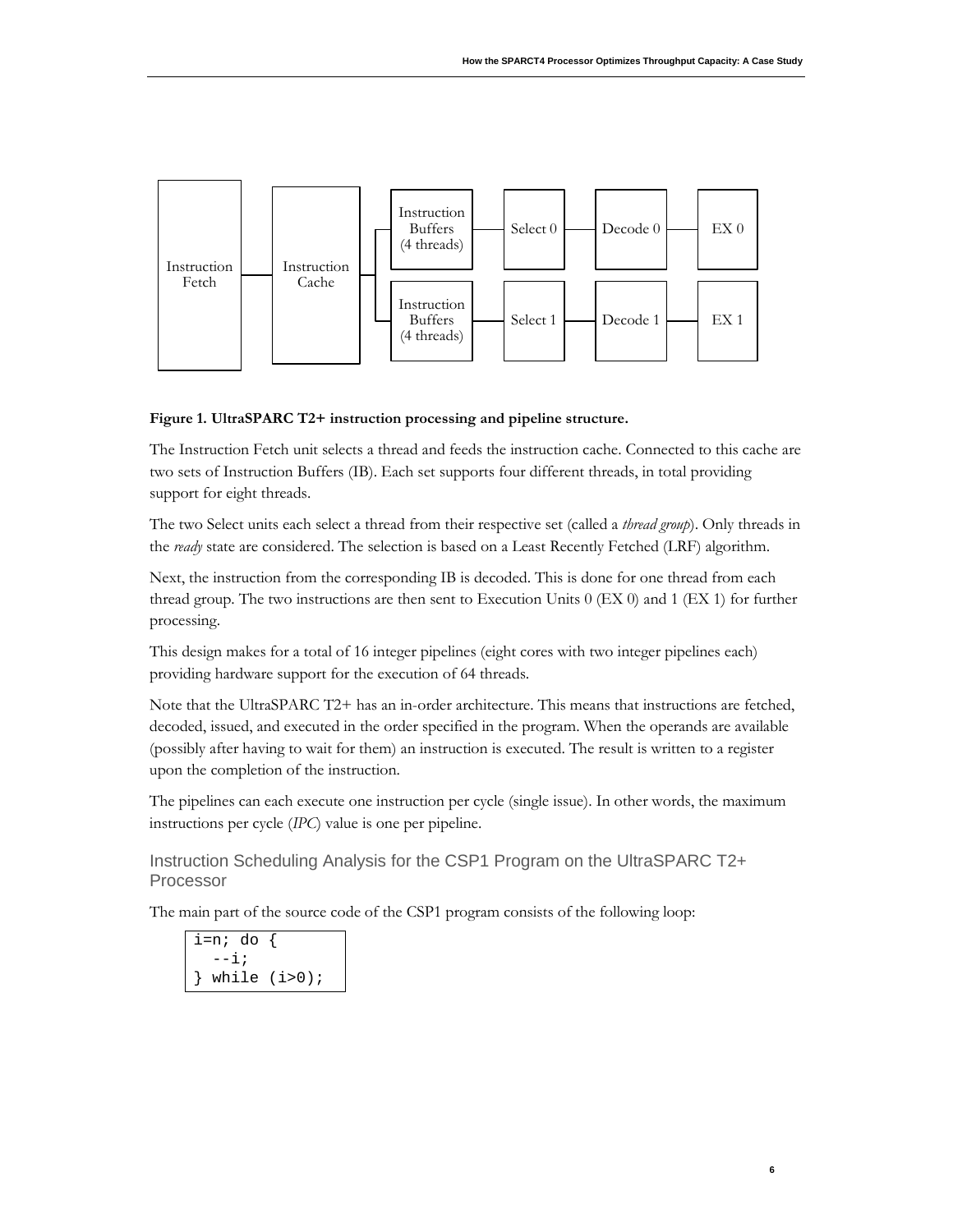**6**



#### <span id="page-7-1"></span>**Figure 1. UltraSPARC T2+ instruction processing and pipeline structure.**

The Instruction Fetch unit selects a thread and feeds the instruction cache. Connected to this cache are two sets of Instruction Buffers (IB). Each set supports four different threads, in total providing support for eight threads.

The two Select units each select a thread from their respective set (called a *thread group*). Only threads in the *ready* state are considered. The selection is based on a Least Recently Fetched (LRF) algorithm.

Next, the instruction from the corresponding IB is decoded. This is done for one thread from each thread group. The two instructions are then sent to Execution Units 0 (EX 0) and 1 (EX 1) for further processing.

This design makes for a total of 16 integer pipelines (eight cores with two integer pipelines each) providing hardware support for the execution of 64 threads.

Note that the UltraSPARC T2+ has an in-order architecture. This means that instructions are fetched, decoded, issued, and executed in the order specified in the program. When the operands are available (possibly after having to wait for them) an instruction is executed. The result is written to a register upon the completion of the instruction.

The pipelines can each execute one instruction per cycle (single issue). In other words, the maximum instructions per cycle (*IPC*) value is one per pipeline.

<span id="page-7-0"></span>Instruction Scheduling Analysis for the CSP1 Program on the UltraSPARC T2+ Processor

The main part of the source code of the CSP1 program consists of the following loop:

i=n; do {  $--i;$ while  $(i>0);$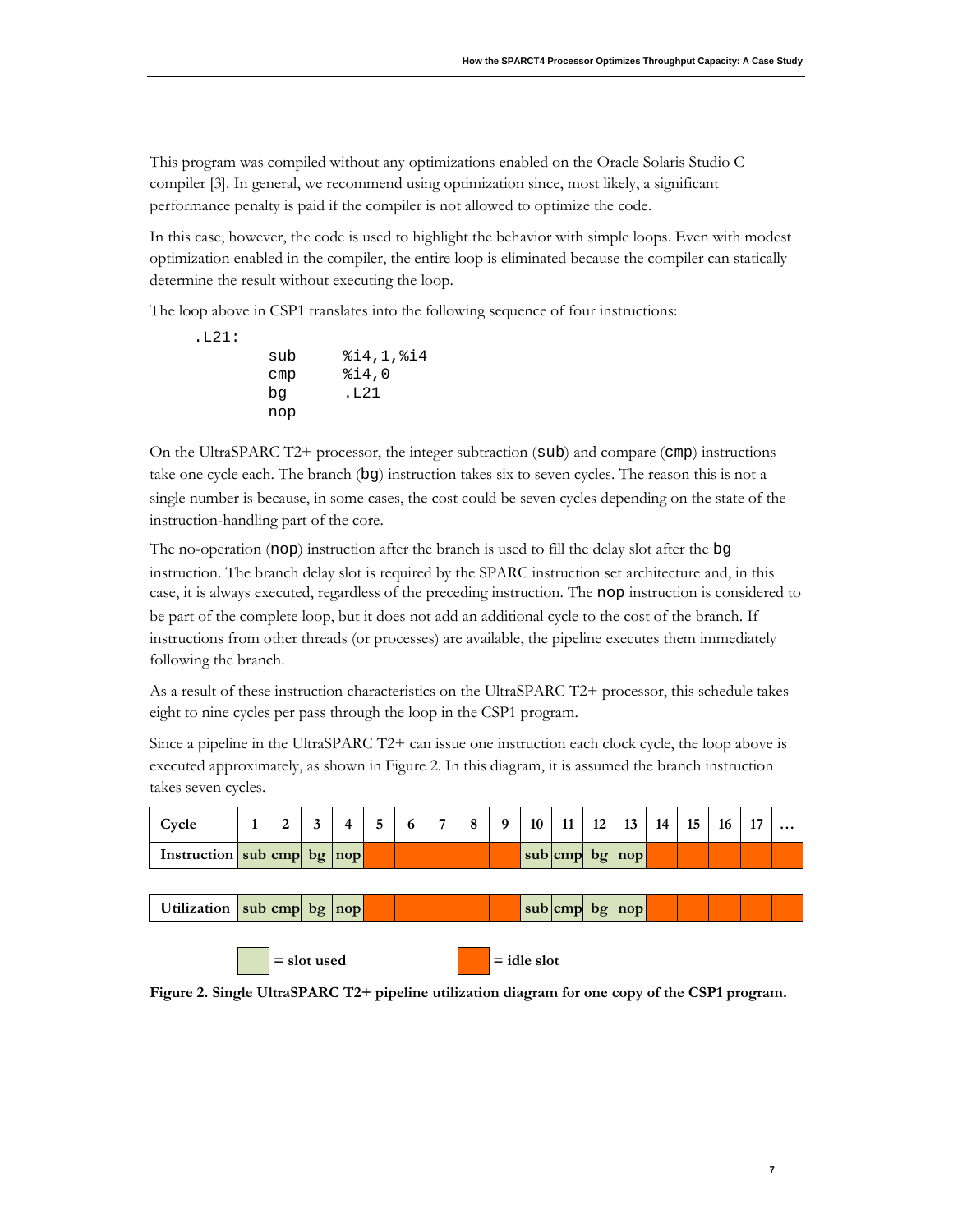This program was compiled without any optimizations enabled on the Oracle Solaris Studio C compiler [3]. In general, we recommend using optimization since, most likely, a significant performance penalty is paid if the compiler is not allowed to optimize the code.

In this case, however, the code is used to highlight the behavior with simple loops. Even with modest optimization enabled in the compiler, the entire loop is eliminated because the compiler can statically determine the result without executing the loop.

The loop above in CSP1 translates into the following sequence of four instructions:

| sub<br>§i4,0<br>$_{\text{cmp}}$<br>.L21<br>bq | .L21: |     |             |
|-----------------------------------------------|-------|-----|-------------|
|                                               |       |     | 814, 1, 814 |
|                                               |       |     |             |
|                                               |       |     |             |
|                                               |       | nop |             |

.L21:

On the UltraSPARC T2+ processor, the integer subtraction (sub) and compare (cmp) instructions take one cycle each. The branch (bg) instruction takes six to seven cycles. The reason this is not a single number is because, in some cases, the cost could be seven cycles depending on the state of the instruction-handling part of the core.

The no-operation (nop) instruction after the branch is used to fill the delay slot after the bg instruction. The branch delay slot is required by the SPARC instruction set architecture and, in this case, it is always executed, regardless of the preceding instruction. The nop instruction is considered to be part of the complete loop, but it does not add an additional cycle to the cost of the branch. If instructions from other threads (or processes) are available, the pipeline executes them immediately following the branch.

As a result of these instruction characteristics on the UltraSPARC T2+ processor, this schedule takes eight to nine cycles per pass through the loop in the CSP1 program.

Since a pipeline in the UltraSPARC T2+ can issue one instruction each clock cycle, the loop above is executed approximately, as shown i[n Figure 2.](#page-8-0) In this diagram, it is assumed the branch instruction takes seven cycles.

| Cycle                      | 2             | 3 | 4 | 5 | 6 | 7 | 8 | 9 | 10            | 11               | $12 \mid 13 \mid 14 \mid$ | <b>15</b> | <b>16</b> | 17 | $\ddotsc$ |
|----------------------------|---------------|---|---|---|---|---|---|---|---------------|------------------|---------------------------|-----------|-----------|----|-----------|
| Instruction sub cmp bg nop |               |   |   |   |   |   |   |   |               | sub cmp bg nop   |                           |           |           |    |           |
|                            |               |   |   |   |   |   |   |   |               |                  |                           |           |           |    |           |
| Utilization sub cmp bg nop |               |   |   |   |   |   |   |   |               | $sub$ cmp bg nop |                           |           |           |    |           |
|                            | $=$ slot used |   |   |   |   |   |   |   | $=$ idle slot |                  |                           |           |           |    |           |

<span id="page-8-0"></span>**Figure 2. Single UltraSPARC T2+ pipeline utilization diagram for one copy of the CSP1 program.**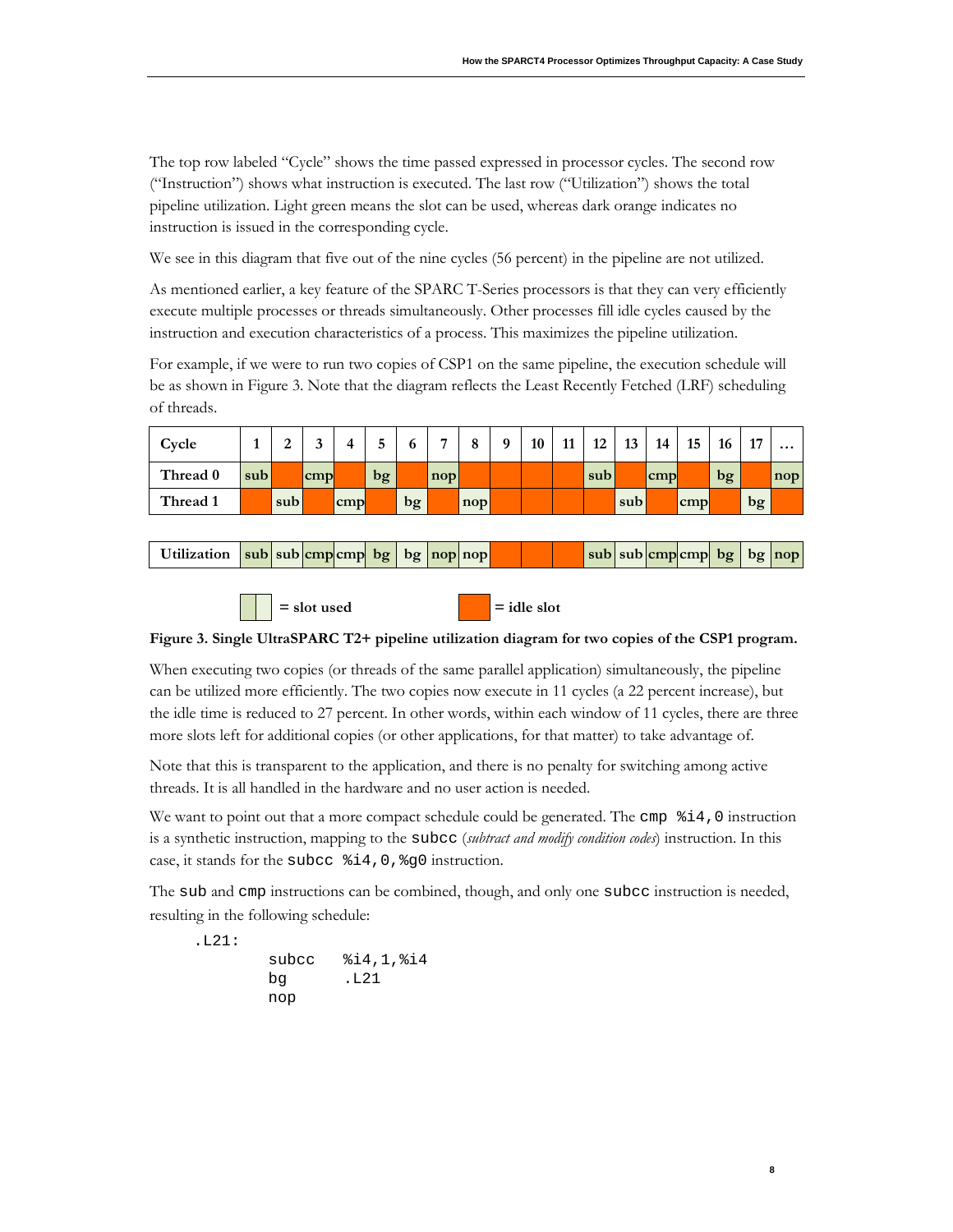The top row labeled "Cycle" shows the time passed expressed in processor cycles. The second row ("Instruction") shows what instruction is executed. The last row ("Utilization") shows the total pipeline utilization. Light green means the slot can be used, whereas dark orange indicates no instruction is issued in the corresponding cycle.

We see in this diagram that five out of the nine cycles (56 percent) in the pipeline are not utilized.

As mentioned earlier, a key feature of the SPARC T-Series processors is that they can very efficiently execute multiple processes or threads simultaneously. Other processes fill idle cycles caused by the instruction and execution characteristics of a process. This maximizes the pipeline utilization.

For example, if we were to run two copies of CSP1 on the same pipeline, the execution schedule will be as shown in [Figure 3.](#page-9-0) Note that the diagram reflects the Least Recently Fetched (LRF) scheduling of threads.

| Cycle    |     | ↩   |     |     | ັ  |    |              | $\Omega$<br>o | $\Omega$ | 10 | 11 | 12  | 13  | 14         | 15  | 16 | 17 | $\cdots$ |
|----------|-----|-----|-----|-----|----|----|--------------|---------------|----------|----|----|-----|-----|------------|-----|----|----|----------|
| Thread 0 | sub |     | cmp |     | bg |    | $\text{nop}$ |               |          |    |    | sub |     | <b>cmp</b> |     | bg |    | nop      |
| Thread 1 |     | sub |     | cmp |    | bg |              | $\text{nop}$  |          |    |    |     | sub |            | cmp |    | bg |          |

| Utilization $ sub sub cmp cmp bg bg nop nop $ |  |  |  |  |  |  |  |  |  |  |  |  |  |  |  |  |  | $ \text{sub} \text{sub} $ cmp cmp $ \text{bg} $ bg $ \text{nop} $ |
|-----------------------------------------------|--|--|--|--|--|--|--|--|--|--|--|--|--|--|--|--|--|-------------------------------------------------------------------|
|-----------------------------------------------|--|--|--|--|--|--|--|--|--|--|--|--|--|--|--|--|--|-------------------------------------------------------------------|

 $=$  slot used  $=$  idle slot

### <span id="page-9-0"></span>**Figure 3. Single UltraSPARC T2+ pipeline utilization diagram for two copies of the CSP1 program.**

When executing two copies (or threads of the same parallel application) simultaneously, the pipeline can be utilized more efficiently. The two copies now execute in 11 cycles (a 22 percent increase), but the idle time is reduced to 27 percent. In other words, within each window of 11 cycles, there are three more slots left for additional copies (or other applications, for that matter) to take advantage of.

Note that this is transparent to the application, and there is no penalty for switching among active threads. It is all handled in the hardware and no user action is needed.

We want to point out that a more compact schedule could be generated. The cmp  $\hat{\mathbf{i}}$  a instruction is a synthetic instruction, mapping to the subcc (*subtract and modify condition codes*) instruction. In this case, it stands for the subcc %i4,0,%g0 instruction.

The sub and cmp instructions can be combined, though, and only one subcc instruction is needed, resulting in the following schedule:

**8**

.L21: subcc %i4,1,%i4 bg .L21 nop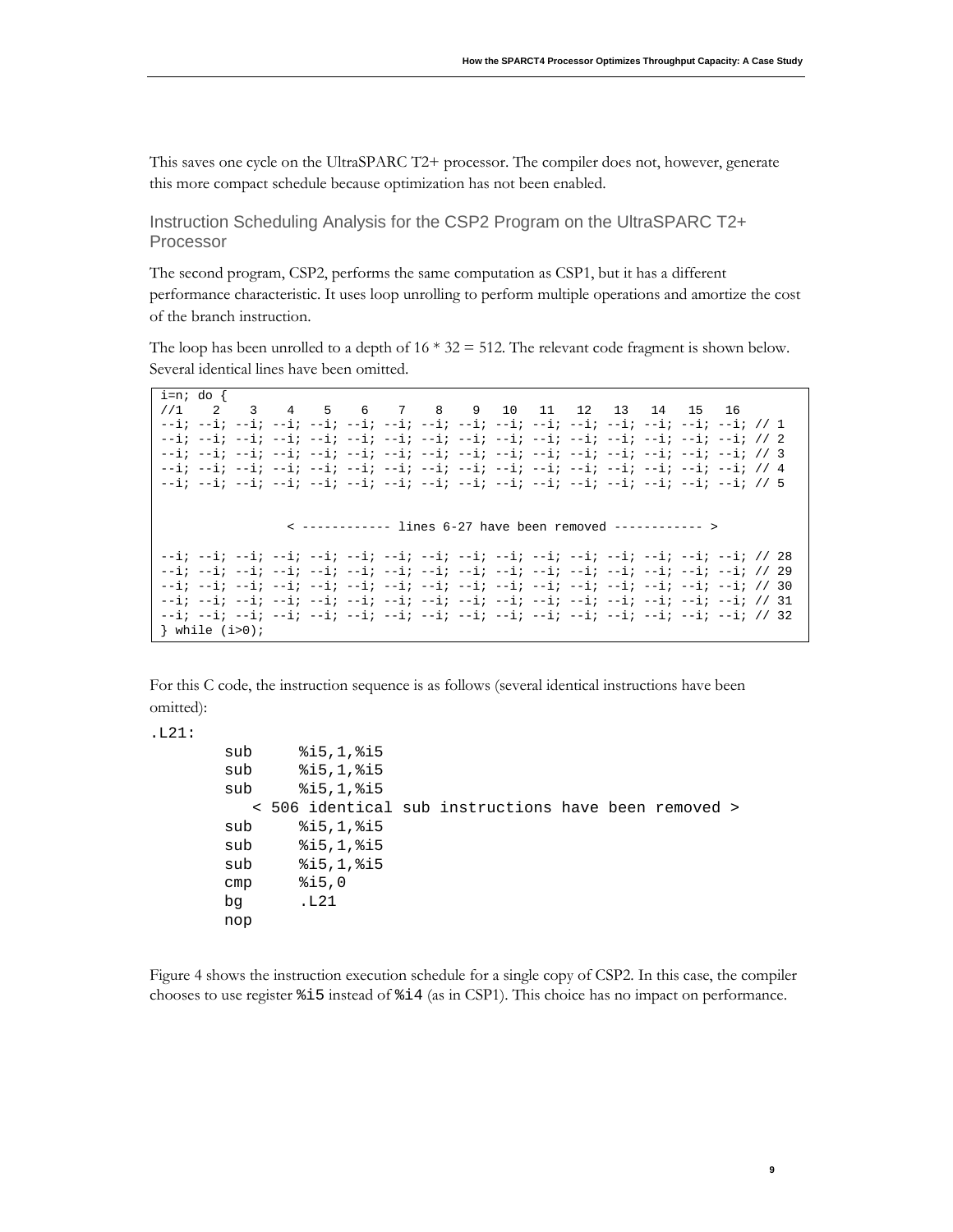This saves one cycle on the UltraSPARC T2+ processor. The compiler does not, however, generate this more compact schedule because optimization has not been enabled.

<span id="page-10-0"></span>Instruction Scheduling Analysis for the CSP2 Program on the UltraSPARC T2+ Processor

The second program, CSP2, performs the same computation as CSP1, but it has a different performance characteristic. It uses loop unrolling to perform multiple operations and amortize the cost of the branch instruction.

The loop has been unrolled to a depth of  $16 * 32 = 512$ . The relevant code fragment is shown below. Several identical lines have been omitted.

```
i=n; do<br>//1 2
//1 2 3 4 5 6 7 8 9 10 11 12 13 14 15 16
--i; --i; --i; --i; --i; --i; --i; --i; --i; --i; --i; --i; --i; --i; --i; --i; // 1
--i; --i; --i; --i; --i; --i; --i; --i; --i; --i; --i; --i; --i; --i; --i; --i; // 2
--i; --i; --i; --i; --i; --i; --i; --i; --i; --i; --i; --i; --i; --i; --i; --i; // 3
--i; --i; --i; --i; --i; --i; --i; --i; --i; --i; --i; --i; --i; --i; --i; --i; // 4
--i; --i; --i; --i; --i; --i; --i; --i; --i; --i; --i; --i; --i; --i; --i; --i; // 5
                 < ------------ lines 6-27 have been removed ------------ >
--i; --i; --i; --i; --i; --i; --i; --i; --i; --i; --i; --i; --i; --i; --i; --i; // 28
--i; --i; --i; --i; --i; --i; --i; --i; --i; --i; --i; --i; --i; --i; --i; --i; // 29
--i; --i; --i; --i; --i; --i; --i; --i; --i; --i; --i; --i; --i; --i; --i; --i; // 30
--i; --i; --i; --i; --i; --i; --i; --i; --i; --i; --i; --i; --i; --i; --i; --i; // 31
--i; --i; --i; --i; --i; --i; --i; --i; --i; --i; --i; --i; --i; --i; --i; --i; // 32
} while (i>0);
```
For this C code, the instruction sequence is as follows (several identical instructions have been omitted):

#### .L21:

```
 sub %i5,1,%i5
 sub %i5,1,%i5
 sub %i5,1,%i5
   < 506 identical sub instructions have been removed >
 sub %i5,1,%i5
 sub %i5,1,%i5
 sub %i5,1,%i5
 cmp %i5,0
 bg .L21
 nop
```
[Figure 4](#page-11-2) shows the instruction execution schedule for a single copy of CSP2. In this case, the compiler chooses to use register %i5 instead of %i4 (as in CSP1). This choice has no impact on performance.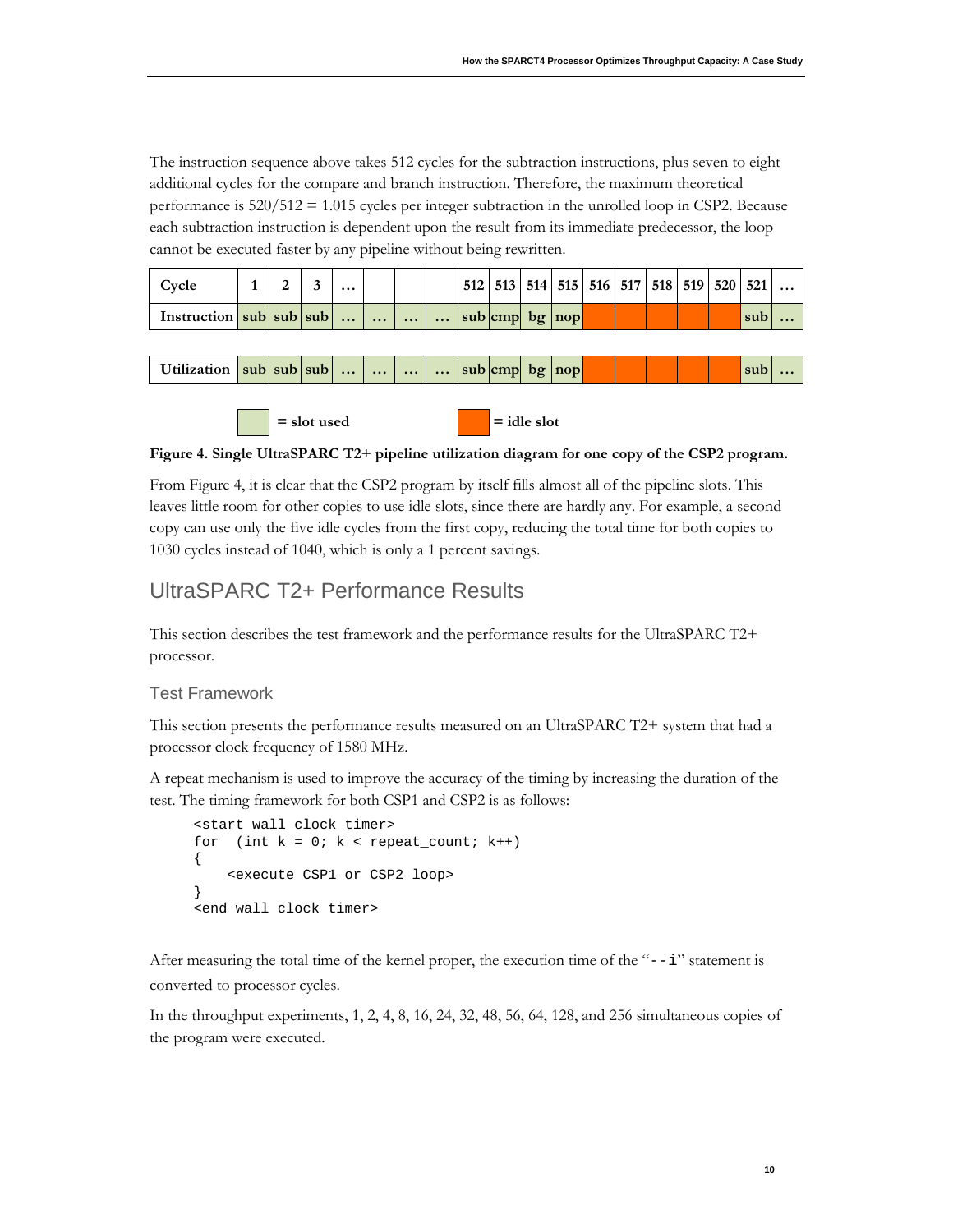The instruction sequence above takes 512 cycles for the subtraction instructions, plus seven to eight additional cycles for the compare and branch instruction. Therefore, the maximum theoretical performance is 520/512 = 1.015 cycles per integer subtraction in the unrolled loop in CSP2. Because each subtraction instruction is dependent upon the result from its immediate predecessor, the loop cannot be executed faster by any pipeline without being rewritten.

| Cvcle                          |  | $\cdots$ |  |  | 512   513   514   515   516   517   518   519   520   521 |  |  |  |     |  |
|--------------------------------|--|----------|--|--|-----------------------------------------------------------|--|--|--|-----|--|
| Instruction $ sub sub sub    $ |  |          |  |  | $\ldots$ sub cmp bg nop                                   |  |  |  | sub |  |

| Utilization sub sub sub |  |  | $\bullet\bullet\bullet$ | $\bullet \bullet \bullet'$ |  | $\ldots$ sub cmp bg nop |  |  |  | sub |  |
|-------------------------|--|--|-------------------------|----------------------------|--|-------------------------|--|--|--|-----|--|
|                         |  |  |                         |                            |  |                         |  |  |  |     |  |

 $=$  slot used  $=$  idle slot

<span id="page-11-2"></span>**Figure 4. Single UltraSPARC T2+ pipeline utilization diagram for one copy of the CSP2 program.**

Fro[m Figure 4,](#page-11-2) it is clear that the CSP2 program by itself fills almost all of the pipeline slots. This leaves little room for other copies to use idle slots, since there are hardly any. For example, a second copy can use only the five idle cycles from the first copy, reducing the total time for both copies to 1030 cycles instead of 1040, which is only a 1 percent savings.

# <span id="page-11-0"></span>UltraSPARC T2+ Performance Results

This section describes the test framework and the performance results for the UltraSPARC T2+ processor.

### <span id="page-11-1"></span>Test Framework

This section presents the performance results measured on an UltraSPARC T2+ system that had a processor clock frequency of 1580 MHz.

A repeat mechanism is used to improve the accuracy of the timing by increasing the duration of the test. The timing framework for both CSP1 and CSP2 is as follows:

```
<start wall clock timer>
for (int k = 0; k < repeat_count; k++)
{
     <execute CSP1 or CSP2 loop>
}
<end wall clock timer>
```
After measuring the total time of the kernel proper, the execution time of the " $-1$ " statement is converted to processor cycles.

In the throughput experiments, 1, 2, 4, 8, 16, 24, 32, 48, 56, 64, 128, and 256 simultaneous copies of the program were executed.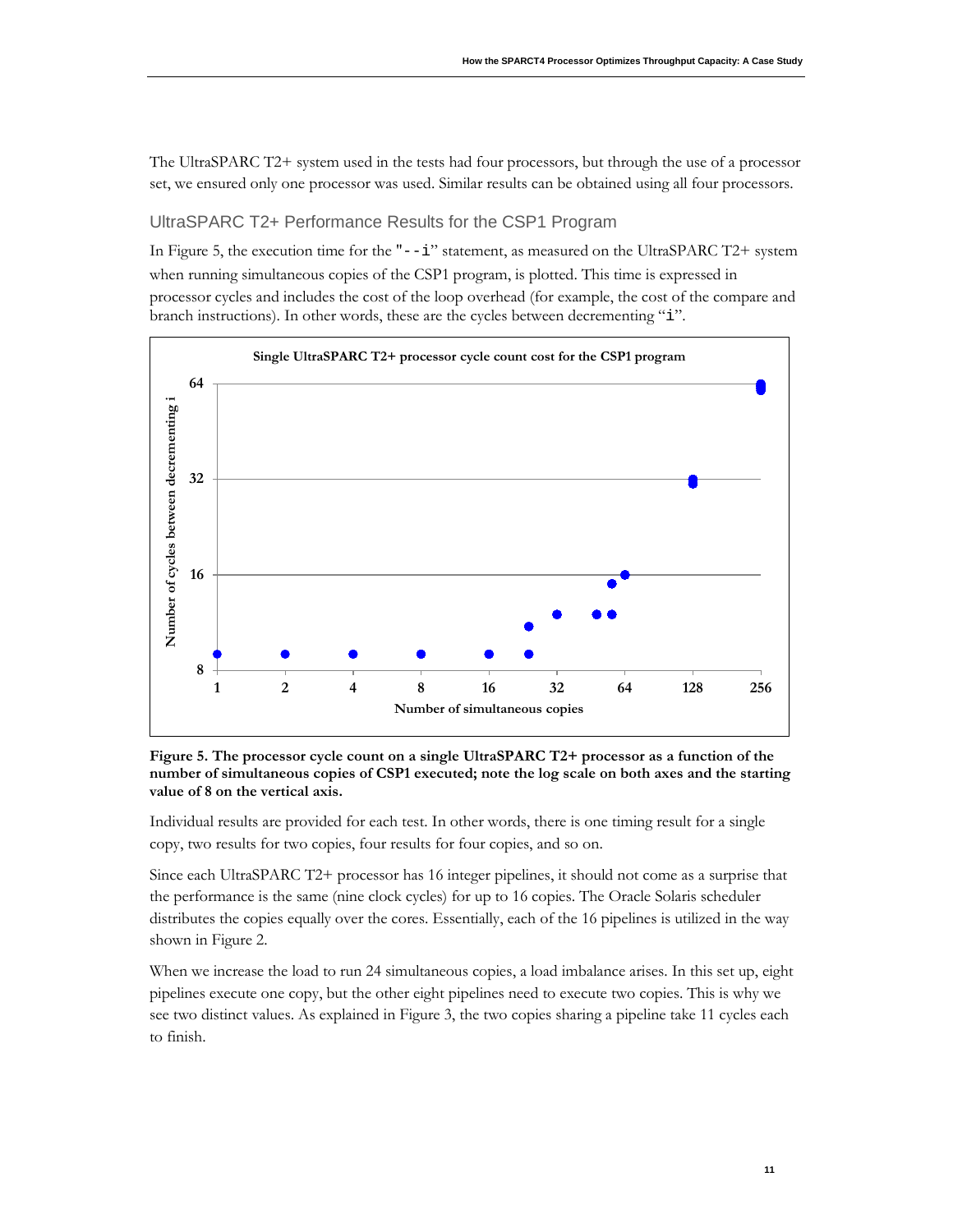The UltraSPARC T2+ system used in the tests had four processors, but through the use of a processor set, we ensured only one processor was used. Similar results can be obtained using all four processors.

### <span id="page-12-0"></span>UltraSPARC T2+ Performance Results for the CSP1 Program

In [Figure 5,](#page-12-1) the execution time for the " $-1$ " statement, as measured on the UltraSPARC T2+ system when running simultaneous copies of the CSP1 program, is plotted. This time is expressed in processor cycles and includes the cost of the loop overhead (for example, the cost of the compare and branch instructions). In other words, these are the cycles between decrementing "i".



<span id="page-12-1"></span>**Figure 5. The processor cycle count on a single UltraSPARC T2+ processor as a function of the number of simultaneous copies of CSP1 executed; note the log scale on both axes and the starting value of 8 on the vertical axis.**

Individual results are provided for each test. In other words, there is one timing result for a single copy, two results for two copies, four results for four copies, and so on.

Since each UltraSPARC T2+ processor has 16 integer pipelines, it should not come as a surprise that the performance is the same (nine clock cycles) for up to 16 copies. The Oracle Solaris scheduler distributes the copies equally over the cores. Essentially, each of the 16 pipelines is utilized in the way shown in [Figure 2.](#page-8-0)

When we increase the load to run 24 simultaneous copies, a load imbalance arises. In this set up, eight pipelines execute one copy, but the other eight pipelines need to execute two copies. This is why we see two distinct values. As explained in [Figure 3,](#page-9-0) the two copies sharing a pipeline take 11 cycles each to finish.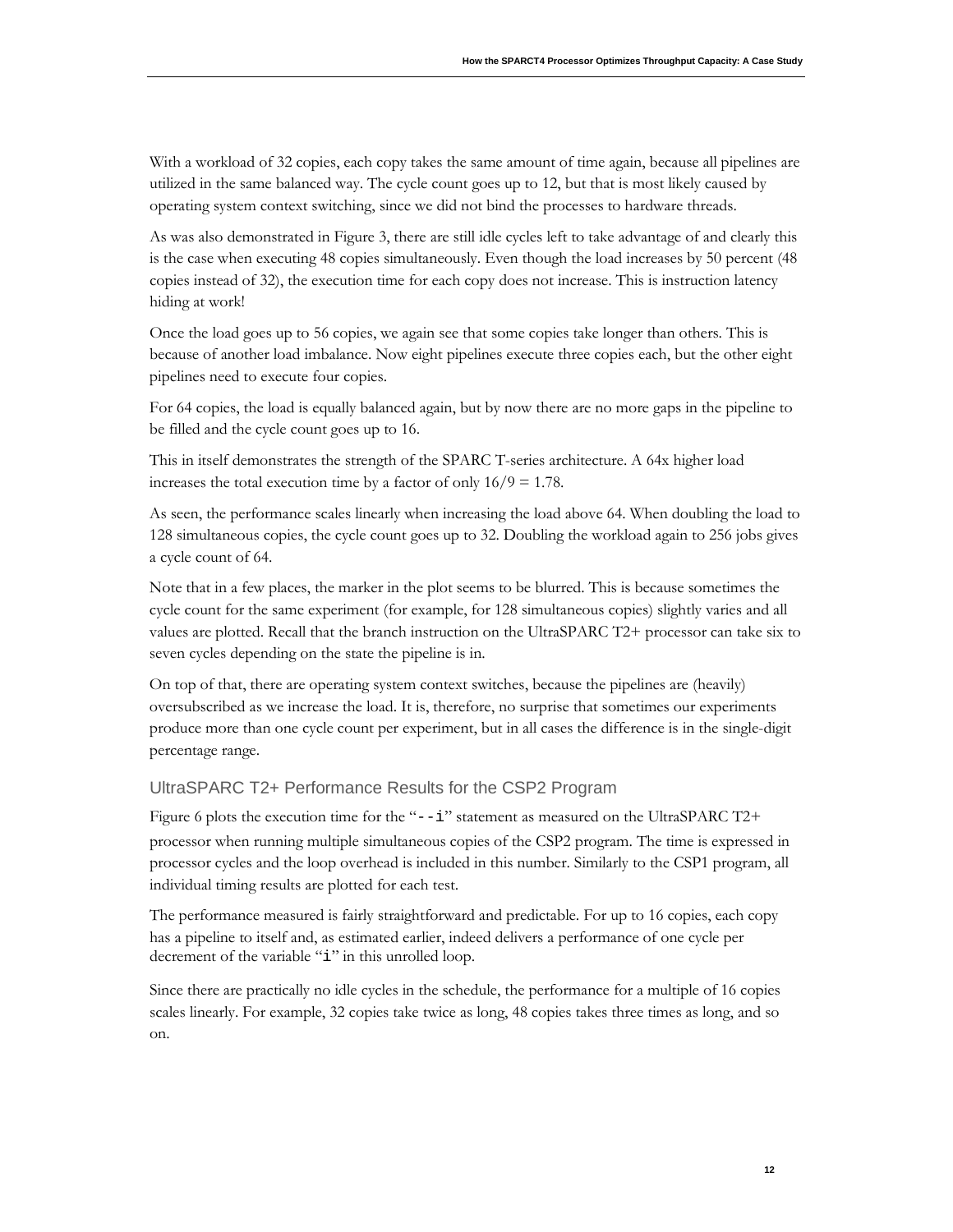With a workload of 32 copies, each copy takes the same amount of time again, because all pipelines are utilized in the same balanced way. The cycle count goes up to 12, but that is most likely caused by operating system context switching, since we did not bind the processes to hardware threads.

As was also demonstrated i[n Figure 3,](#page-9-0) there are still idle cycles left to take advantage of and clearly this is the case when executing 48 copies simultaneously. Even though the load increases by 50 percent (48 copies instead of 32), the execution time for each copy does not increase. This is instruction latency hiding at work!

Once the load goes up to 56 copies, we again see that some copies take longer than others. This is because of another load imbalance. Now eight pipelines execute three copies each, but the other eight pipelines need to execute four copies.

For 64 copies, the load is equally balanced again, but by now there are no more gaps in the pipeline to be filled and the cycle count goes up to 16.

This in itself demonstrates the strength of the SPARC T-series architecture. A 64x higher load increases the total execution time by a factor of only  $16/9 = 1.78$ .

As seen, the performance scales linearly when increasing the load above 64. When doubling the load to 128 simultaneous copies, the cycle count goes up to 32. Doubling the workload again to 256 jobs gives a cycle count of 64.

Note that in a few places, the marker in the plot seems to be blurred. This is because sometimes the cycle count for the same experiment (for example, for 128 simultaneous copies) slightly varies and all values are plotted. Recall that the branch instruction on the UltraSPARC T2+ processor can take six to seven cycles depending on the state the pipeline is in.

On top of that, there are operating system context switches, because the pipelines are (heavily) oversubscribed as we increase the load. It is, therefore, no surprise that sometimes our experiments produce more than one cycle count per experiment, but in all cases the difference is in the single-digit percentage range.

### <span id="page-13-0"></span>UltraSPARC T2+ Performance Results for the CSP2 Program

[Figure 6](#page-14-2) plots the execution time for the "--i" statement as measured on the UltraSPARC T2+ processor when running multiple simultaneous copies of the CSP2 program. The time is expressed in processor cycles and the loop overhead is included in this number. Similarly to the CSP1 program, all individual timing results are plotted for each test.

The performance measured is fairly straightforward and predictable. For up to 16 copies, each copy has a pipeline to itself and, as estimated earlier, indeed delivers a performance of one cycle per decrement of the variable "i" in this unrolled loop.

Since there are practically no idle cycles in the schedule, the performance for a multiple of 16 copies scales linearly. For example, 32 copies take twice as long, 48 copies takes three times as long, and so on.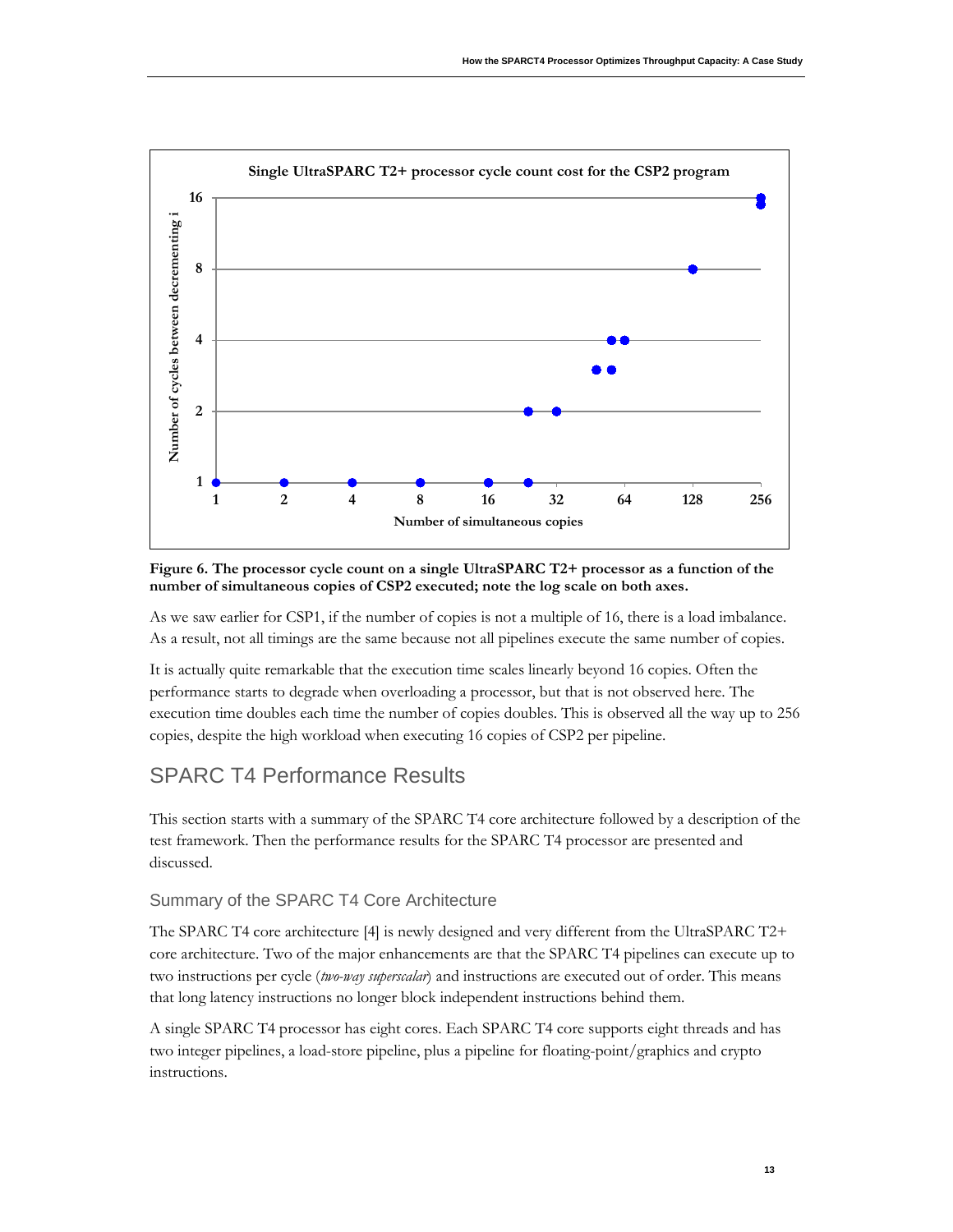

<span id="page-14-2"></span>**Figure 6. The processor cycle count on a single UltraSPARC T2+ processor as a function of the number of simultaneous copies of CSP2 executed; note the log scale on both axes.**

As we saw earlier for CSP1, if the number of copies is not a multiple of 16, there is a load imbalance. As a result, not all timings are the same because not all pipelines execute the same number of copies.

It is actually quite remarkable that the execution time scales linearly beyond 16 copies. Often the performance starts to degrade when overloading a processor, but that is not observed here. The execution time doubles each time the number of copies doubles. This is observed all the way up to 256 copies, despite the high workload when executing 16 copies of CSP2 per pipeline.

# <span id="page-14-0"></span>SPARC T4 Performance Results

This section starts with a summary of the SPARC T4 core architecture followed by a description of the test framework. Then the performance results for the SPARC T4 processor are presented and discussed.

### <span id="page-14-1"></span>Summary of the SPARC T4 Core Architecture

The SPARC T4 core architecture [4] is newly designed and very different from the UltraSPARC T2+ core architecture. Two of the major enhancements are that the SPARC T4 pipelines can execute up to two instructions per cycle (*two-way superscalar*) and instructions are executed out of order. This means that long latency instructions no longer block independent instructions behind them.

A single SPARC T4 processor has eight cores. Each SPARC T4 core supports eight threads and has two integer pipelines, a load-store pipeline, plus a pipeline for floating-point/graphics and crypto instructions.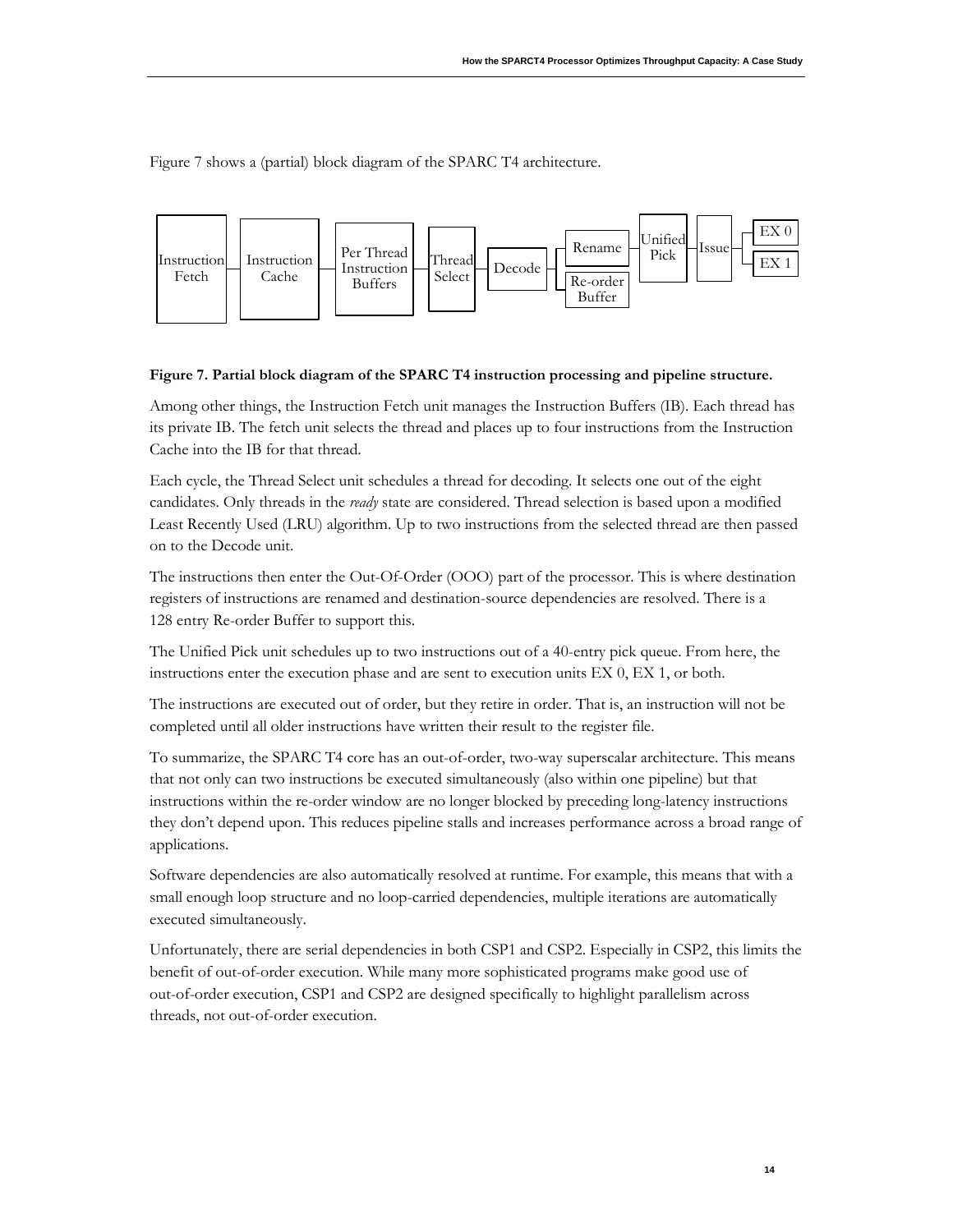[Figure 7](#page-15-0) shows a (partial) block diagram of the SPARC T4 architecture.



#### <span id="page-15-0"></span>**Figure 7. Partial block diagram of the SPARC T4 instruction processing and pipeline structure.**

Among other things, the Instruction Fetch unit manages the Instruction Buffers (IB). Each thread has its private IB. The fetch unit selects the thread and places up to four instructions from the Instruction Cache into the IB for that thread.

Each cycle, the Thread Select unit schedules a thread for decoding. It selects one out of the eight candidates. Only threads in the *ready* state are considered. Thread selection is based upon a modified Least Recently Used (LRU) algorithm. Up to two instructions from the selected thread are then passed on to the Decode unit.

The instructions then enter the Out-Of-Order (OOO) part of the processor. This is where destination registers of instructions are renamed and destination-source dependencies are resolved. There is a 128 entry Re-order Buffer to support this.

The Unified Pick unit schedules up to two instructions out of a 40-entry pick queue. From here, the instructions enter the execution phase and are sent to execution units EX 0, EX 1, or both.

The instructions are executed out of order, but they retire in order. That is, an instruction will not be completed until all older instructions have written their result to the register file.

To summarize, the SPARC T4 core has an out-of-order, two-way superscalar architecture. This means that not only can two instructions be executed simultaneously (also within one pipeline) but that instructions within the re-order window are no longer blocked by preceding long-latency instructions they don't depend upon. This reduces pipeline stalls and increases performance across a broad range of applications.

Software dependencies are also automatically resolved at runtime. For example, this means that with a small enough loop structure and no loop-carried dependencies, multiple iterations are automatically executed simultaneously.

Unfortunately, there are serial dependencies in both CSP1 and CSP2. Especially in CSP2, this limits the benefit of out-of-order execution. While many more sophisticated programs make good use of out-of-order execution, CSP1 and CSP2 are designed specifically to highlight parallelism across threads, not out-of-order execution.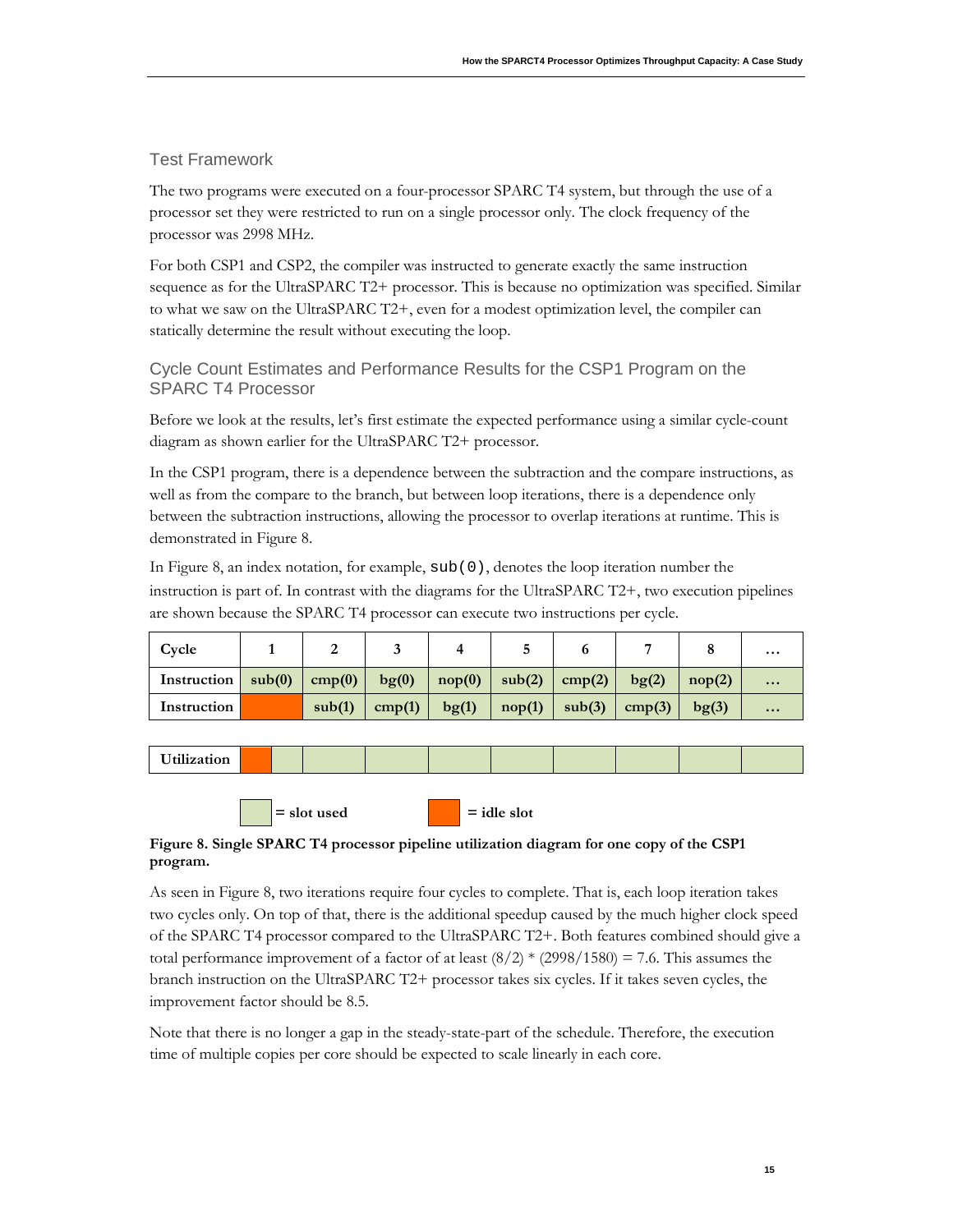### <span id="page-16-0"></span>Test Framework

The two programs were executed on a four-processor SPARC T4 system, but through the use of a processor set they were restricted to run on a single processor only. The clock frequency of the processor was 2998 MHz.

For both CSP1 and CSP2, the compiler was instructed to generate exactly the same instruction sequence as for the UltraSPARC T2+ processor. This is because no optimization was specified. Similar to what we saw on the UltraSPARC T2+, even for a modest optimization level, the compiler can statically determine the result without executing the loop.

### <span id="page-16-1"></span>Cycle Count Estimates and Performance Results for the CSP1 Program on the SPARC T4 Processor

Before we look at the results, let's first estimate the expected performance using a similar cycle-count diagram as shown earlier for the UltraSPARC T2+ processor.

In the CSP1 program, there is a dependence between the subtraction and the compare instructions, as well as from the compare to the branch, but between loop iterations, there is a dependence only between the subtraction instructions, allowing the processor to overlap iterations at runtime. This is demonstrated in [Figure 8.](#page-16-2)

In Figure 8, an index notation, for example, sub(0), denotes the loop iteration number the instruction is part of. In contrast with the diagrams for the UltraSPARC T2+, two execution pipelines are shown because the SPARC T4 processor can execute two instructions per cycle.

| Cycle       |        |        |        |                 |           |        |                  |                  | $\cdots$                |
|-------------|--------|--------|--------|-----------------|-----------|--------|------------------|------------------|-------------------------|
| Instruction | sub(0) | cmp(0) | bg(0)  | $\text{nop}(0)$ | sub(2)    | cmp(2) | $b\mathbf{g}(2)$ | nop(2)           | $\bullet\bullet\bullet$ |
| Instruction |        | sub(1) | cmp(1) | bg(1)           | $\mod(1)$ | sub(3) | cmp(3)           | $b\mathbf{g}(3)$ | $\bullet\bullet\bullet$ |

**Utilization**

### <span id="page-16-2"></span>**Figure 8. Single SPARC T4 processor pipeline utilization diagram for one copy of the CSP1 program.**

 $=$  slot used  $=$  idle slot

As seen in Figure 8, two iterations require four cycles to complete. That is, each loop iteration takes two cycles only. On top of that, there is the additional speedup caused by the much higher clock speed of the SPARC T4 processor compared to the UltraSPARC T2+. Both features combined should give a total performance improvement of a factor of at least  $(8/2)$  \*  $(2998/1580) = 7.6$ . This assumes the branch instruction on the UltraSPARC T2+ processor takes six cycles. If it takes seven cycles, the improvement factor should be 8.5.

Note that there is no longer a gap in the steady-state-part of the schedule. Therefore, the execution time of multiple copies per core should be expected to scale linearly in each core.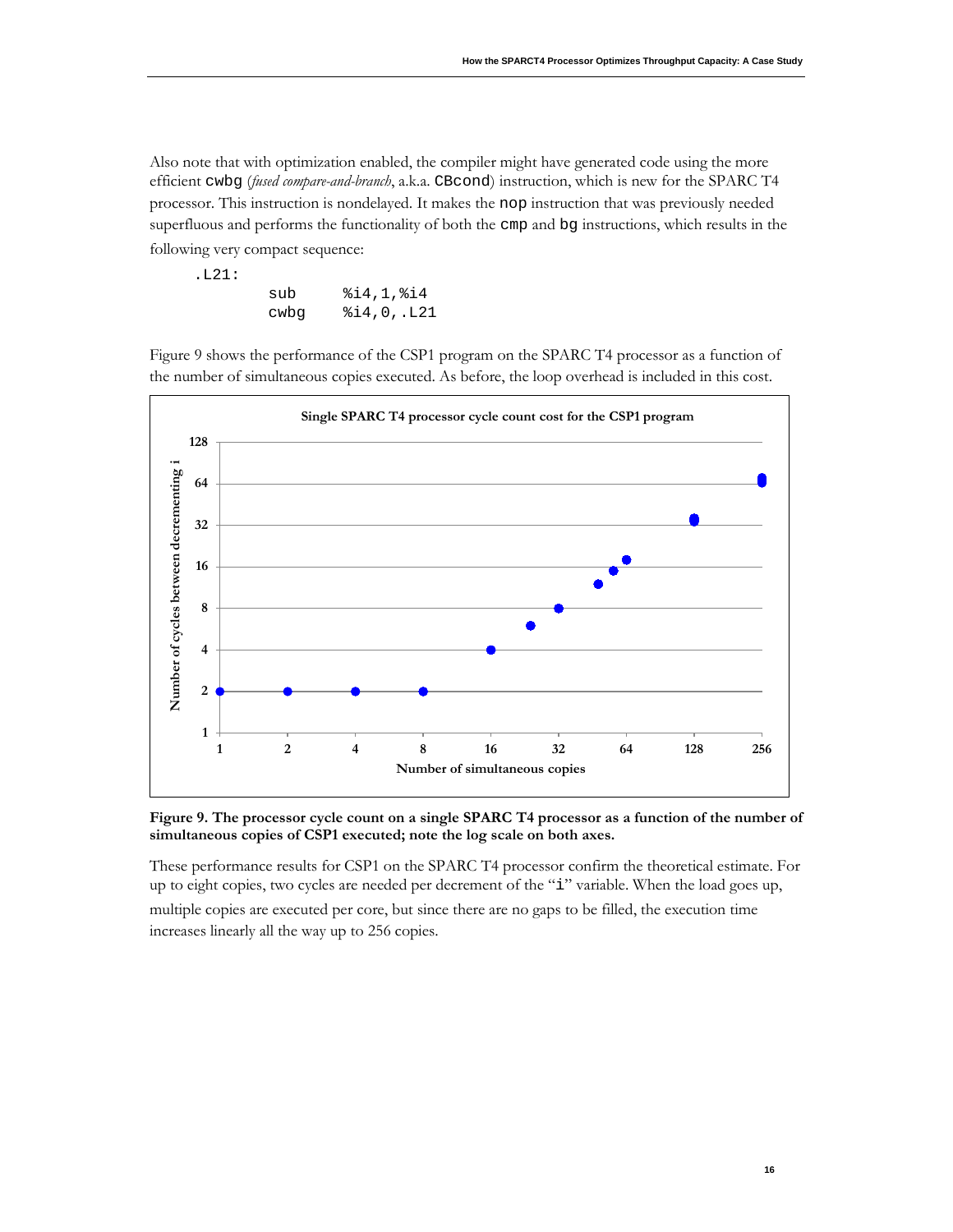Also note that with optimization enabled, the compiler might have generated code using the more efficient cwbg (*fused compare-and-branch*, a.k.a. CBcond) instruction, which is new for the SPARC T4 processor. This instruction is nondelayed. It makes the nop instruction that was previously needed superfluous and performs the functionality of both the cmp and bg instructions, which results in the following very compact sequence:

| .L21: |      |                   |
|-------|------|-------------------|
|       | sub  | 814, 1, 814       |
|       | cwba | $\$14,0$ ,. $L21$ |

[Figure 9](#page-17-0) shows the performance of the CSP1 program on the SPARC T4 processor as a function of the number of simultaneous copies executed. As before, the loop overhead is included in this cost.



<span id="page-17-0"></span>**Figure 9. The processor cycle count on a single SPARC T4 processor as a function of the number of simultaneous copies of CSP1 executed; note the log scale on both axes.**

These performance results for CSP1 on the SPARC T4 processor confirm the theoretical estimate. For up to eight copies, two cycles are needed per decrement of the "i" variable. When the load goes up, multiple copies are executed per core, but since there are no gaps to be filled, the execution time

increases linearly all the way up to 256 copies.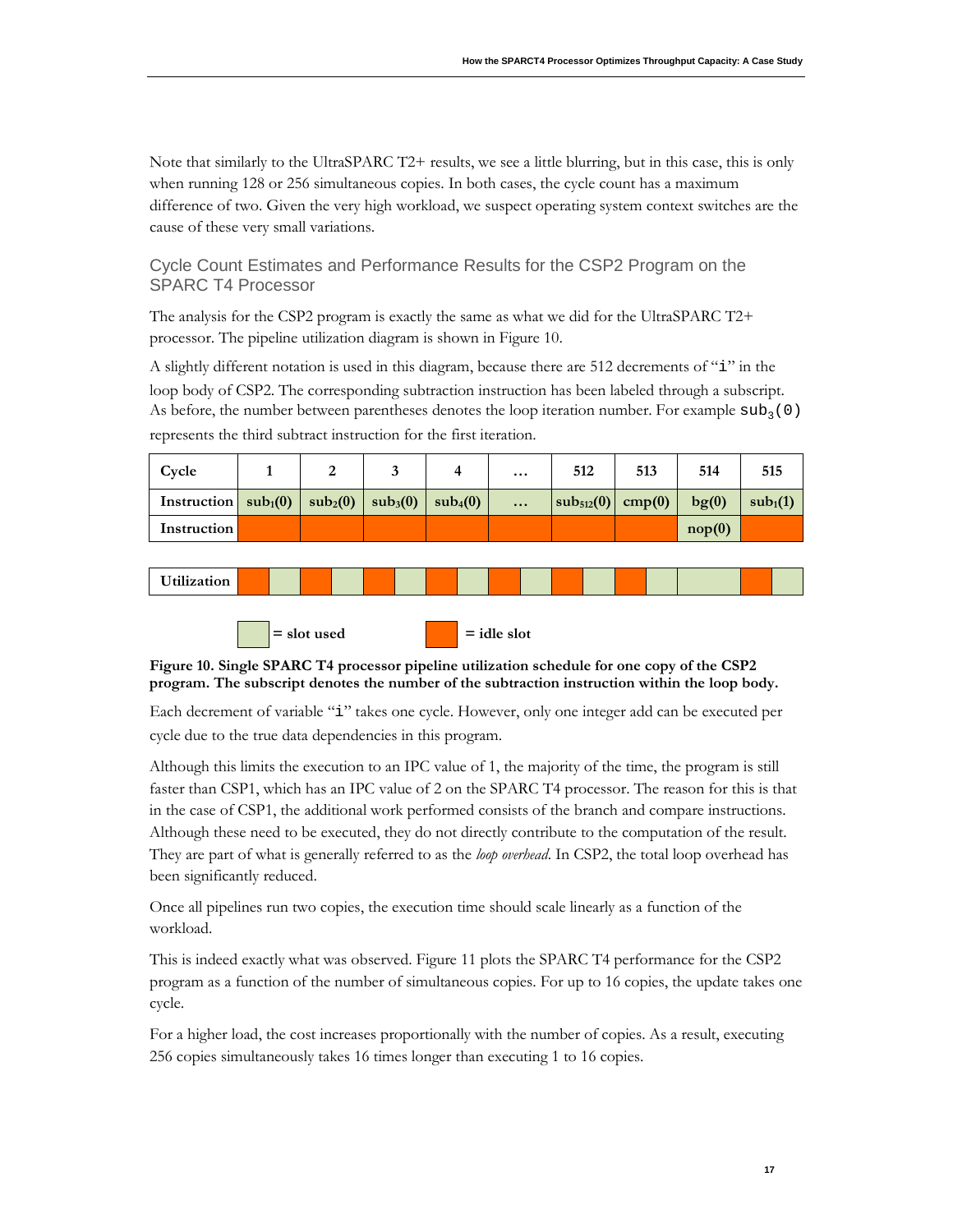Note that similarly to the UltraSPARC T2+ results, we see a little blurring, but in this case, this is only when running 128 or 256 simultaneous copies. In both cases, the cycle count has a maximum difference of two. Given the very high workload, we suspect operating system context switches are the cause of these very small variations.

<span id="page-18-0"></span>Cycle Count Estimates and Performance Results for the CSP2 Program on the SPARC T4 Processor

The analysis for the CSP2 program is exactly the same as what we did for the UltraSPARC T2+ processor. The pipeline utilization diagram is shown in [Figure 10.](#page-18-1)

A slightly different notation is used in this diagram, because there are 512 decrements of "i" in the loop body of CSP2. The corresponding subtraction instruction has been labeled through a subscript. As before, the number between parentheses denotes the loop iteration number. For example  $\text{sub}_3(0)$ represents the third subtract instruction for the first iteration.

| Cycle                                                             |  |                      | $\cdots$ | 512                     | 513 | 514    | 515                  |
|-------------------------------------------------------------------|--|----------------------|----------|-------------------------|-----|--------|----------------------|
| Instruction $\text{sub}_1(0)$ $\text{sub}_2(0)$ $\text{sub}_3(0)$ |  | sub <sub>4</sub> (0) | $\cdots$ | $ sub_{512}(0) $ cmp(0) |     | bg(0)  | sub <sub>1</sub> (1) |
| Instruction                                                       |  |                      |          |                         |     | nop(0) |                      |





<span id="page-18-1"></span>**Figure 10. Single SPARC T4 processor pipeline utilization schedule for one copy of the CSP2 program. The subscript denotes the number of the subtraction instruction within the loop body.**

Each decrement of variable "i" takes one cycle. However, only one integer add can be executed per cycle due to the true data dependencies in this program.

Although this limits the execution to an IPC value of 1, the majority of the time, the program is still faster than CSP1, which has an IPC value of 2 on the SPARC T4 processor. The reason for this is that in the case of CSP1, the additional work performed consists of the branch and compare instructions. Although these need to be executed, they do not directly contribute to the computation of the result. They are part of what is generally referred to as the *loop overhead*. In CSP2, the total loop overhead has been significantly reduced.

Once all pipelines run two copies, the execution time should scale linearly as a function of the workload.

This is indeed exactly what was observed. [Figure 11](#page-19-1) plots the SPARC T4 performance for the CSP2 program as a function of the number of simultaneous copies. For up to 16 copies, the update takes one cycle.

For a higher load, the cost increases proportionally with the number of copies. As a result, executing 256 copies simultaneously takes 16 times longer than executing 1 to 16 copies.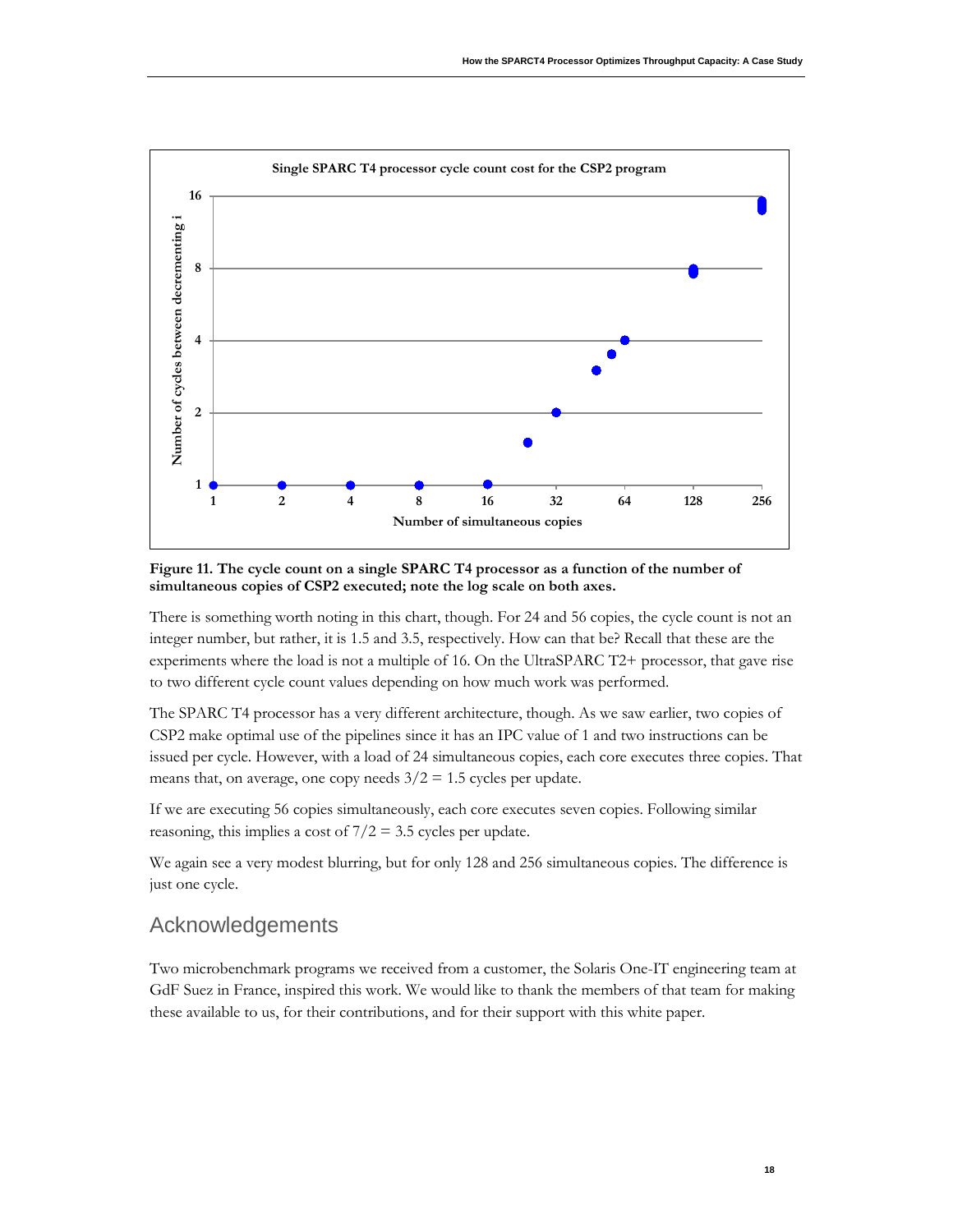

<span id="page-19-1"></span>**Figure 11. The cycle count on a single SPARC T4 processor as a function of the number of simultaneous copies of CSP2 executed; note the log scale on both axes.**

There is something worth noting in this chart, though. For 24 and 56 copies, the cycle count is not an integer number, but rather, it is 1.5 and 3.5, respectively. How can that be? Recall that these are the experiments where the load is not a multiple of 16. On the UltraSPARC T2+ processor, that gave rise to two different cycle count values depending on how much work was performed.

The SPARC T4 processor has a very different architecture, though. As we saw earlier, two copies of CSP2 make optimal use of the pipelines since it has an IPC value of 1 and two instructions can be issued per cycle. However, with a load of 24 simultaneous copies, each core executes three copies. That means that, on average, one copy needs  $3/2 = 1.5$  cycles per update.

If we are executing 56 copies simultaneously, each core executes seven copies. Following similar reasoning, this implies a cost of  $7/2 = 3.5$  cycles per update.

We again see a very modest blurring, but for only 128 and 256 simultaneous copies. The difference is just one cycle.

### <span id="page-19-0"></span>Acknowledgements

Two microbenchmark programs we received from a customer, the Solaris One-IT engineering team at GdF Suez in France, inspired this work. We would like to thank the members of that team for making these available to us, for their contributions, and for their support with this white paper.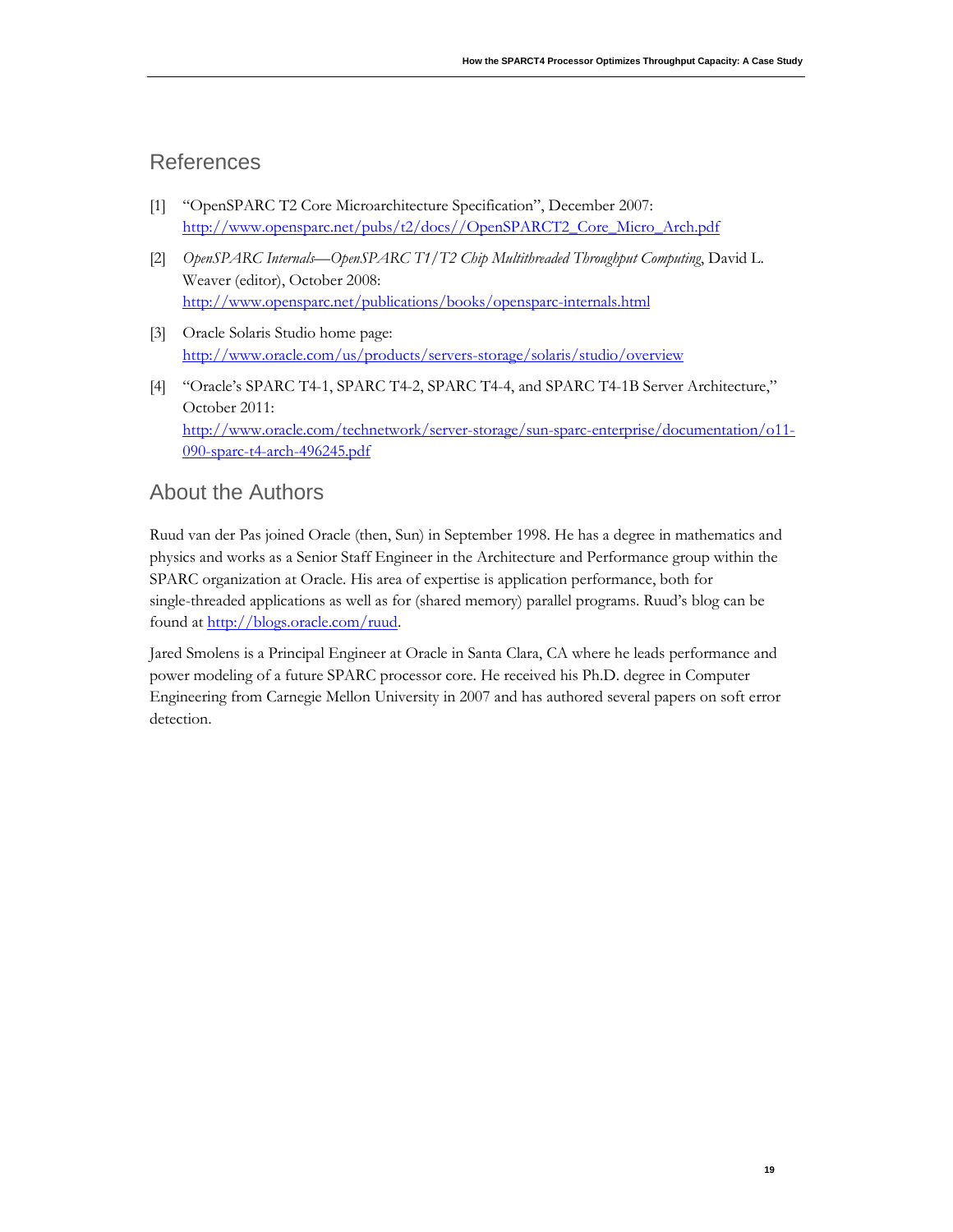### <span id="page-20-0"></span>References

- [1] "OpenSPARC T2 Core Microarchitecture Specification", December 2007: [http://www.opensparc.net/pubs/t2/docs//OpenSPARCT2\\_Core\\_Micro\\_Arch.pdf](http://www.opensparc.net/pubs/t2/docs/OpenSPARCT2_Core_Micro_Arch.pdf)
- [2] *OpenSPARC Internals—OpenSPARC T1/T2 Chip Multithreaded Throughput Computing*, David L. Weaver (editor), October 2008: <http://www.opensparc.net/publications/books/opensparc-internals.html>
- [3] Oracle Solaris Studio home page: <http://www.oracle.com/us/products/servers-storage/solaris/studio/overview>
- [4] "Oracle's SPARC T4-1, SPARC T4-2, SPARC T4-4, and SPARC T4-1B Server Architecture," October 2011: [http://www.oracle.com/technetwork/server-storage/sun-sparc-enterprise/documentation/o11-](http://www.oracle.com/technetwork/server-storage/sun-sparc-enterprise/documentation/o11-090-sparc-t4-arch-496245.pdf) [090-sparc-t4-arch-496245.pdf](http://www.oracle.com/technetwork/server-storage/sun-sparc-enterprise/documentation/o11-090-sparc-t4-arch-496245.pdf)

### <span id="page-20-1"></span>About the Authors

Ruud van der Pas joined Oracle (then, Sun) in September 1998. He has a degree in mathematics and physics and works as a Senior Staff Engineer in the Architecture and Performance group within the SPARC organization at Oracle. His area of expertise is application performance, both for single-threaded applications as well as for (shared memory) parallel programs. Ruud's blog can be found at [http://blogs.oracle.com/ruud.](http://blogs.oracle.com/ruud)

Jared Smolens is a Principal Engineer at Oracle in Santa Clara, CA where he leads performance and power modeling of a future SPARC processor core. He received his Ph.D. degree in Computer Engineering from Carnegie Mellon University in 2007 and has authored several papers on soft error detection.